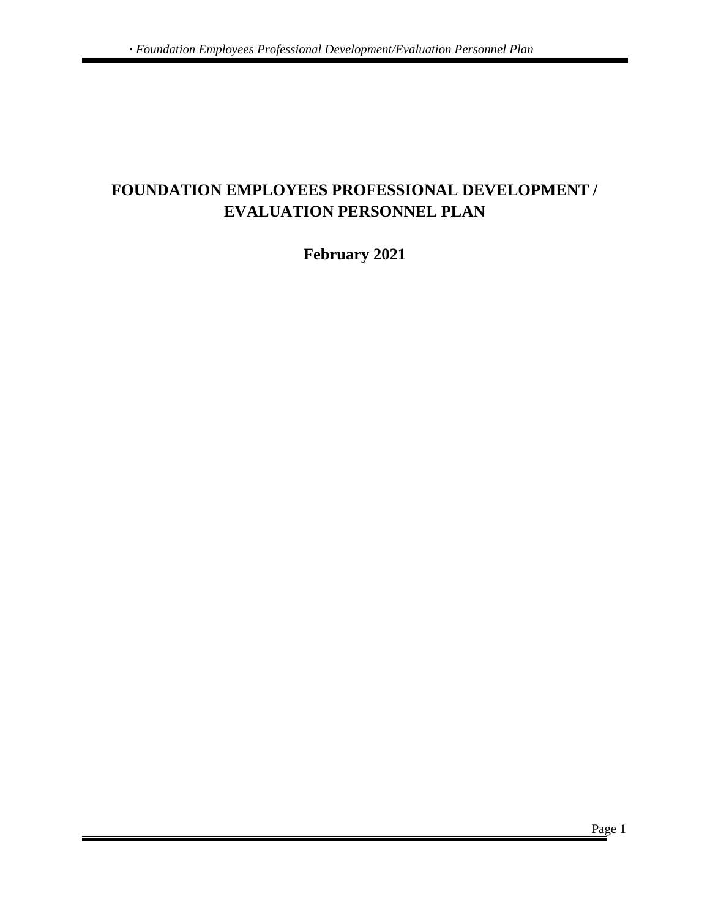# **FOUNDATION EMPLOYEES PROFESSIONAL DEVELOPMENT / EVALUATION PERSONNEL PLAN**

# **February 2021**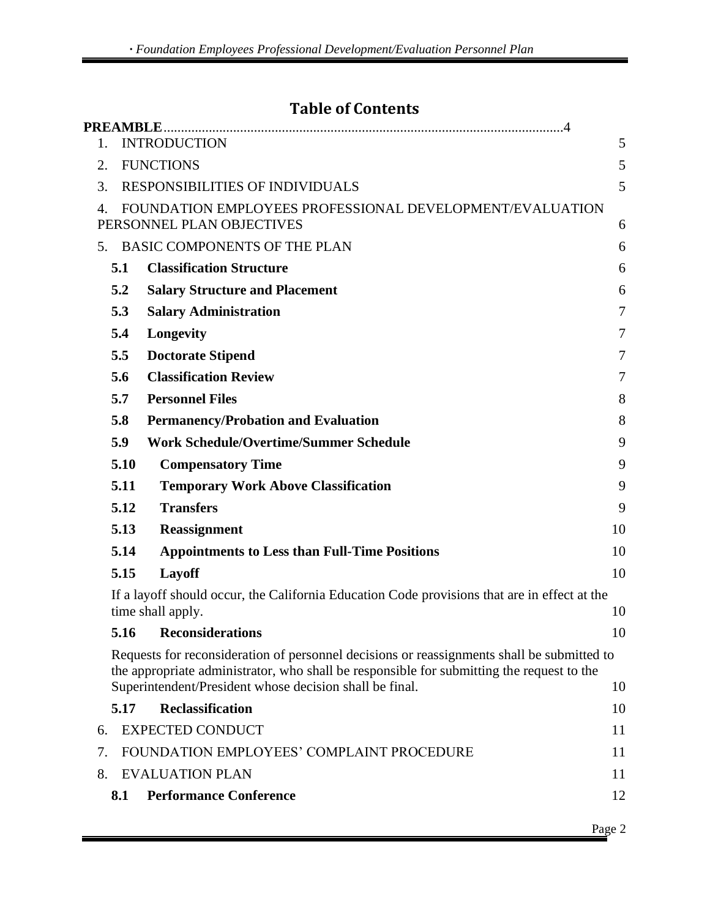# **Table of Contents**

| 1. |      | <b>INTRODUCTION</b>                                                                                                                                                                                                                                | 5  |
|----|------|----------------------------------------------------------------------------------------------------------------------------------------------------------------------------------------------------------------------------------------------------|----|
| 2. |      | <b>FUNCTIONS</b>                                                                                                                                                                                                                                   | 5  |
| 3. |      | <b>RESPONSIBILITIES OF INDIVIDUALS</b>                                                                                                                                                                                                             | 5  |
| 4. |      | FOUNDATION EMPLOYEES PROFESSIONAL DEVELOPMENT/EVALUATION                                                                                                                                                                                           |    |
|    |      | PERSONNEL PLAN OBJECTIVES                                                                                                                                                                                                                          | 6  |
| 5. |      | <b>BASIC COMPONENTS OF THE PLAN</b>                                                                                                                                                                                                                | 6  |
|    | 5.1  | <b>Classification Structure</b>                                                                                                                                                                                                                    | 6  |
|    | 5.2  | <b>Salary Structure and Placement</b>                                                                                                                                                                                                              | 6  |
|    | 5.3  | <b>Salary Administration</b>                                                                                                                                                                                                                       | 7  |
|    | 5.4  | Longevity                                                                                                                                                                                                                                          | 7  |
|    | 5.5  | <b>Doctorate Stipend</b>                                                                                                                                                                                                                           | 7  |
|    | 5.6  | <b>Classification Review</b>                                                                                                                                                                                                                       | 7  |
|    | 5.7  | <b>Personnel Files</b>                                                                                                                                                                                                                             | 8  |
|    | 5.8  | <b>Permanency/Probation and Evaluation</b>                                                                                                                                                                                                         | 8  |
|    | 5.9  | <b>Work Schedule/Overtime/Summer Schedule</b>                                                                                                                                                                                                      | 9  |
|    | 5.10 | <b>Compensatory Time</b>                                                                                                                                                                                                                           | 9  |
|    | 5.11 | <b>Temporary Work Above Classification</b>                                                                                                                                                                                                         | 9  |
|    | 5.12 | <b>Transfers</b>                                                                                                                                                                                                                                   | 9  |
|    | 5.13 | <b>Reassignment</b>                                                                                                                                                                                                                                | 10 |
|    | 5.14 | <b>Appointments to Less than Full-Time Positions</b>                                                                                                                                                                                               | 10 |
|    | 5.15 | Layoff                                                                                                                                                                                                                                             | 10 |
|    |      | If a layoff should occur, the California Education Code provisions that are in effect at the<br>time shall apply.                                                                                                                                  | 10 |
|    | 5.16 | <b>Reconsiderations</b>                                                                                                                                                                                                                            | 10 |
|    |      | Requests for reconsideration of personnel decisions or reassignments shall be submitted to<br>the appropriate administrator, who shall be responsible for submitting the request to the<br>Superintendent/President whose decision shall be final. | 10 |
|    | 5.17 | <b>Reclassification</b>                                                                                                                                                                                                                            | 10 |
| 6. |      | <b>EXPECTED CONDUCT</b>                                                                                                                                                                                                                            | 11 |
| 7. |      | FOUNDATION EMPLOYEES' COMPLAINT PROCEDURE                                                                                                                                                                                                          | 11 |
| 8. |      | <b>EVALUATION PLAN</b>                                                                                                                                                                                                                             | 11 |
|    | 8.1  | <b>Performance Conference</b>                                                                                                                                                                                                                      | 12 |
|    |      |                                                                                                                                                                                                                                                    |    |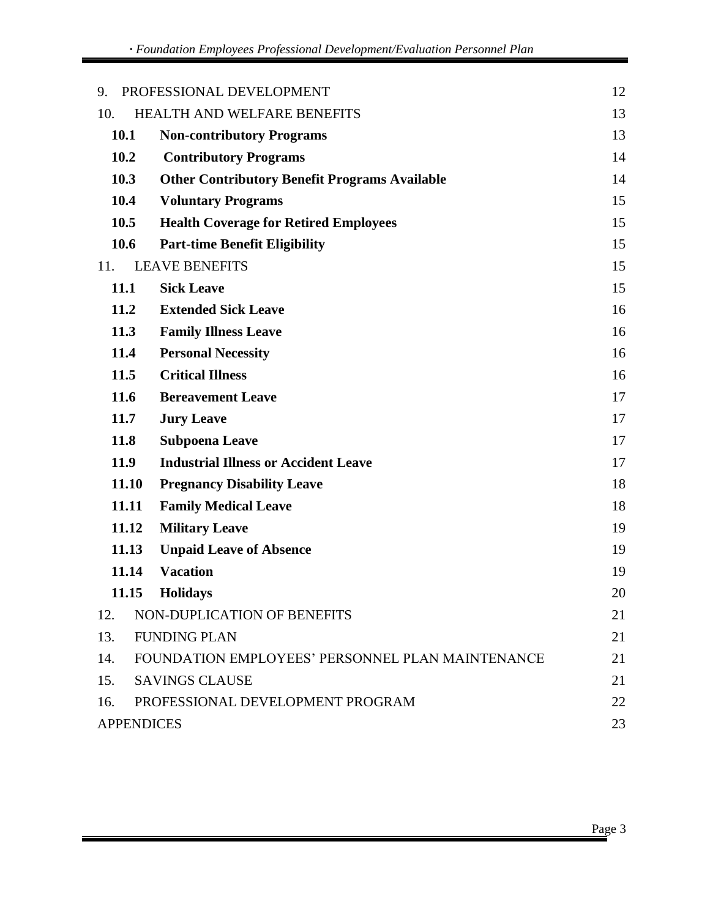| 9.                |       | PROFESSIONAL DEVELOPMENT                             | 12 |
|-------------------|-------|------------------------------------------------------|----|
| 10.               |       | HEALTH AND WELFARE BENEFITS                          | 13 |
| 10.1              |       | <b>Non-contributory Programs</b>                     | 13 |
| 10.2              |       | <b>Contributory Programs</b>                         | 14 |
| 10.3              |       | <b>Other Contributory Benefit Programs Available</b> | 14 |
| 10.4              |       | <b>Voluntary Programs</b>                            | 15 |
| 10.5              |       | <b>Health Coverage for Retired Employees</b>         | 15 |
| 10.6              |       | <b>Part-time Benefit Eligibility</b>                 | 15 |
| 11.               |       | <b>LEAVE BENEFITS</b>                                | 15 |
| 11.1              |       | <b>Sick Leave</b>                                    | 15 |
| 11.2              |       | <b>Extended Sick Leave</b>                           | 16 |
| 11.3              |       | <b>Family Illness Leave</b>                          | 16 |
| 11.4              |       | <b>Personal Necessity</b>                            | 16 |
| 11.5              |       | <b>Critical Illness</b>                              | 16 |
| 11.6              |       | <b>Bereavement Leave</b>                             | 17 |
| <b>11.7</b>       |       | <b>Jury Leave</b>                                    | 17 |
| 11.8              |       | <b>Subpoena Leave</b>                                | 17 |
| 11.9              |       | <b>Industrial Illness or Accident Leave</b>          | 17 |
|                   | 11.10 | <b>Pregnancy Disability Leave</b>                    | 18 |
|                   | 11.11 | <b>Family Medical Leave</b>                          | 18 |
|                   | 11.12 | <b>Military Leave</b>                                | 19 |
|                   | 11.13 | <b>Unpaid Leave of Absence</b>                       | 19 |
|                   | 11.14 | <b>Vacation</b>                                      | 19 |
|                   | 11.15 | <b>Holidays</b>                                      | 20 |
| 12.               |       | NON-DUPLICATION OF BENEFITS                          | 21 |
| 13.               |       | <b>FUNDING PLAN</b>                                  | 21 |
| 14.               |       | FOUNDATION EMPLOYEES' PERSONNEL PLAN MAINTENANCE     | 21 |
| 15.               |       | <b>SAVINGS CLAUSE</b>                                | 21 |
| 16.               |       | PROFESSIONAL DEVELOPMENT PROGRAM                     | 22 |
| <b>APPENDICES</b> |       |                                                      | 23 |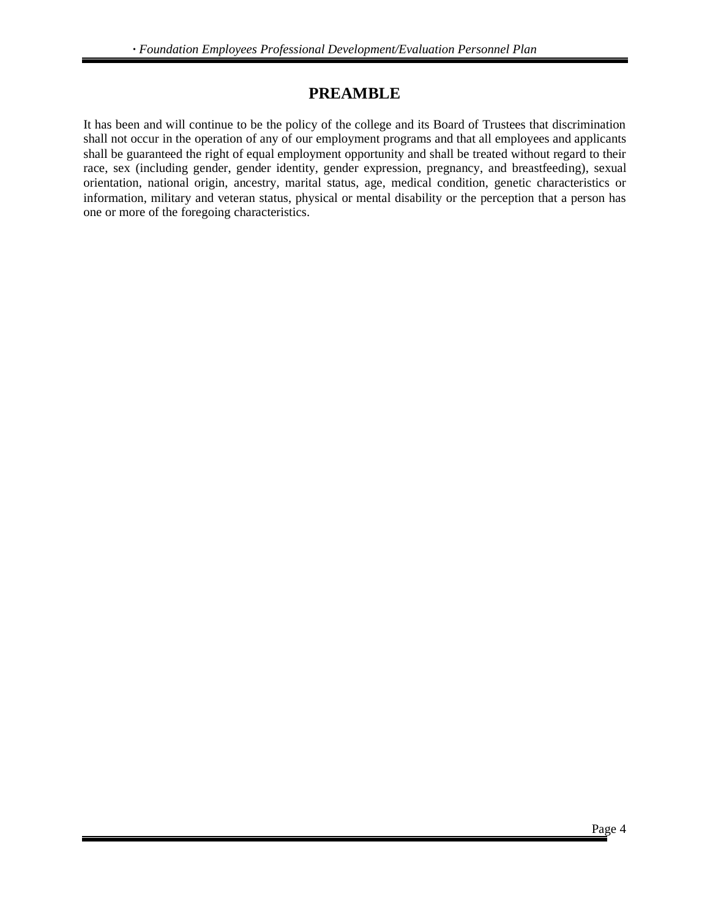# **PREAMBLE**

<span id="page-3-0"></span>It has been and will continue to be the policy of the college and its Board of Trustees that discrimination shall not occur in the operation of any of our employment programs and that all employees and applicants shall be guaranteed the right of equal employment opportunity and shall be treated without regard to their race, sex (including gender, gender identity, gender expression, pregnancy, and breastfeeding), sexual orientation, national origin, ancestry, marital status, age, medical condition, genetic characteristics or information, military and veteran status, physical or mental disability or the perception that a person has one or more of the foregoing characteristics.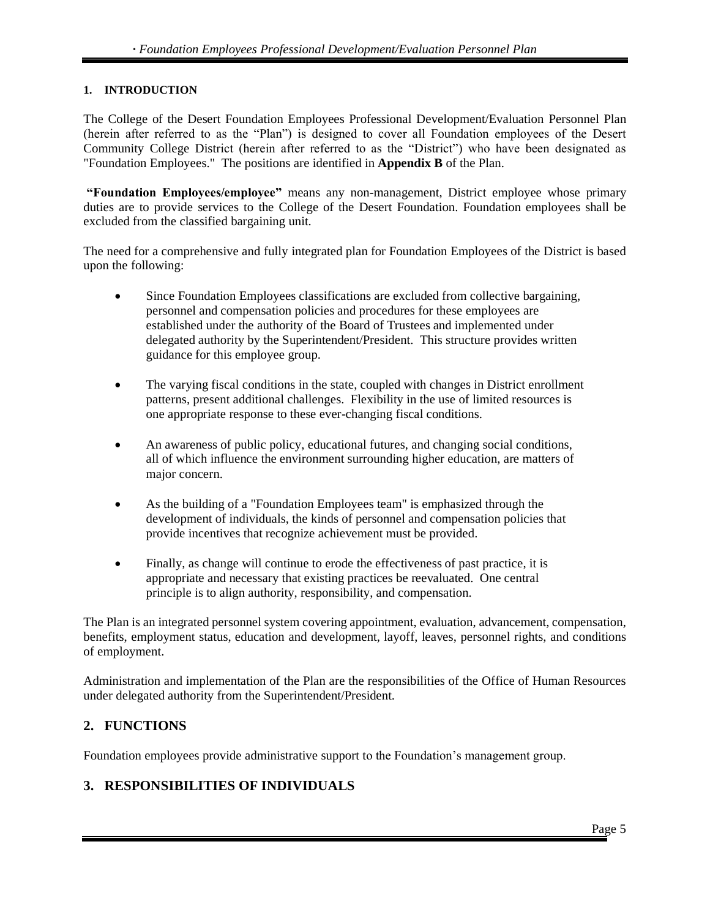#### <span id="page-4-0"></span>**1. INTRODUCTION**

The College of the Desert Foundation Employees Professional Development/Evaluation Personnel Plan (herein after referred to as the "Plan") is designed to cover all Foundation employees of the Desert Community College District (herein after referred to as the "District") who have been designated as "Foundation Employees." The positions are identified in **Appendix B** of the Plan.

**"Foundation Employees/employee"** means any non-management, District employee whose primary duties are to provide services to the College of the Desert Foundation. Foundation employees shall be excluded from the classified bargaining unit.

The need for a comprehensive and fully integrated plan for Foundation Employees of the District is based upon the following:

- Since Foundation Employees classifications are excluded from collective bargaining, personnel and compensation policies and procedures for these employees are established under the authority of the Board of Trustees and implemented under delegated authority by the Superintendent/President. This structure provides written guidance for this employee group.
- The varying fiscal conditions in the state, coupled with changes in District enrollment patterns, present additional challenges. Flexibility in the use of limited resources is one appropriate response to these ever-changing fiscal conditions.
- An awareness of public policy, educational futures, and changing social conditions, all of which influence the environment surrounding higher education, are matters of major concern.
- As the building of a "Foundation Employees team" is emphasized through the development of individuals, the kinds of personnel and compensation policies that provide incentives that recognize achievement must be provided.
- Finally, as change will continue to erode the effectiveness of past practice, it is appropriate and necessary that existing practices be reevaluated. One central principle is to align authority, responsibility, and compensation.

The Plan is an integrated personnel system covering appointment, evaluation, advancement, compensation, benefits, employment status, education and development, layoff, leaves, personnel rights, and conditions of employment.

Administration and implementation of the Plan are the responsibilities of the Office of Human Resources under delegated authority from the Superintendent/President.

# <span id="page-4-1"></span>**2. FUNCTIONS**

Foundation employees provide administrative support to the Foundation's management group.

# <span id="page-4-2"></span>**3. RESPONSIBILITIES OF INDIVIDUALS**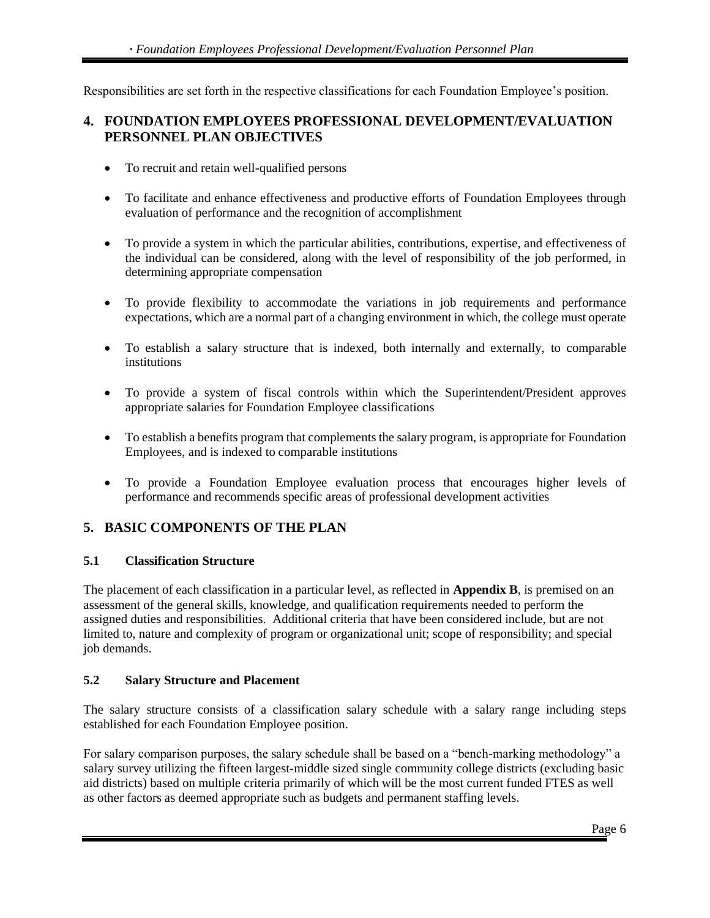Responsibilities are set forth in the respective classifications for each Foundation Employee's position.

# <span id="page-5-0"></span>**4. FOUNDATION EMPLOYEES PROFESSIONAL DEVELOPMENT/EVALUATION PERSONNEL PLAN OBJECTIVES**

- To recruit and retain well-qualified persons
- To facilitate and enhance effectiveness and productive efforts of Foundation Employees through evaluation of performance and the recognition of accomplishment
- To provide a system in which the particular abilities, contributions, expertise, and effectiveness of the individual can be considered, along with the level of responsibility of the job performed, in determining appropriate compensation
- To provide flexibility to accommodate the variations in job requirements and performance expectations, which are a normal part of a changing environment in which, the college must operate
- To establish a salary structure that is indexed, both internally and externally, to comparable institutions
- To provide a system of fiscal controls within which the Superintendent/President approves appropriate salaries for Foundation Employee classifications
- To establish a benefits program that complements the salary program, is appropriate for Foundation Employees, and is indexed to comparable institutions
- To provide a Foundation Employee evaluation process that encourages higher levels of performance and recommends specific areas of professional development activities

# <span id="page-5-1"></span>**5. BASIC COMPONENTS OF THE PLAN**

#### <span id="page-5-2"></span>**5.1 Classification Structure**

The placement of each classification in a particular level, as reflected in **Appendix B**, is premised on an assessment of the general skills, knowledge, and qualification requirements needed to perform the assigned duties and responsibilities. Additional criteria that have been considered include, but are not limited to, nature and complexity of program or organizational unit; scope of responsibility; and special job demands.

#### <span id="page-5-3"></span>**5.2 Salary Structure and Placement**

The salary structure consists of a classification salary schedule with a salary range including steps established for each Foundation Employee position.

For salary comparison purposes, the salary schedule shall be based on a "bench-marking methodology" a salary survey utilizing the fifteen largest-middle sized single community college districts (excluding basic aid districts) based on multiple criteria primarily of which will be the most current funded FTES as well as other factors as deemed appropriate such as budgets and permanent staffing levels.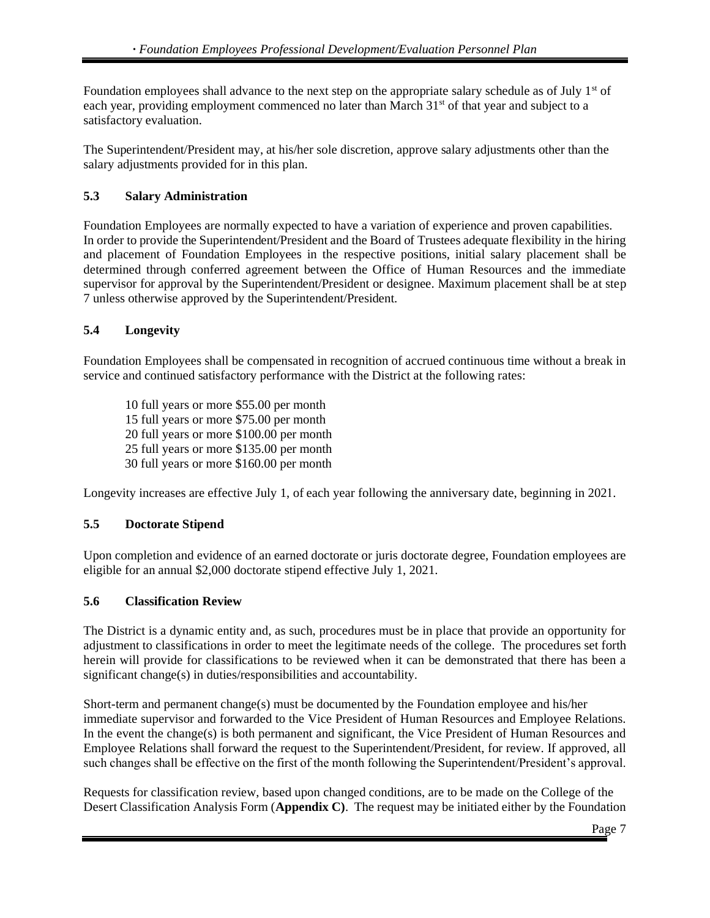Foundation employees shall advance to the next step on the appropriate salary schedule as of July 1<sup>st</sup> of each year, providing employment commenced no later than March 31<sup>st</sup> of that year and subject to a satisfactory evaluation.

The Superintendent/President may, at his/her sole discretion, approve salary adjustments other than the salary adjustments provided for in this plan.

#### <span id="page-6-0"></span>**5.3 Salary Administration**

Foundation Employees are normally expected to have a variation of experience and proven capabilities. In order to provide the Superintendent/President and the Board of Trustees adequate flexibility in the hiring and placement of Foundation Employees in the respective positions, initial salary placement shall be determined through conferred agreement between the Office of Human Resources and the immediate supervisor for approval by the Superintendent/President or designee. Maximum placement shall be at step 7 unless otherwise approved by the Superintendent/President.

#### <span id="page-6-1"></span>**5.4 Longevity**

Foundation Employees shall be compensated in recognition of accrued continuous time without a break in service and continued satisfactory performance with the District at the following rates:

10 full years or more \$55.00 per month 15 full years or more \$75.00 per month 20 full years or more \$100.00 per month 25 full years or more \$135.00 per month 30 full years or more \$160.00 per month

Longevity increases are effective July 1, of each year following the anniversary date, beginning in 2021.

#### <span id="page-6-2"></span>**5.5 Doctorate Stipend**

Upon completion and evidence of an earned doctorate or juris doctorate degree, Foundation employees are eligible for an annual \$2,000 doctorate stipend effective July 1, 2021.

#### <span id="page-6-3"></span>**5.6 Classification Review**

The District is a dynamic entity and, as such, procedures must be in place that provide an opportunity for adjustment to classifications in order to meet the legitimate needs of the college. The procedures set forth herein will provide for classifications to be reviewed when it can be demonstrated that there has been a significant change(s) in duties/responsibilities and accountability.

Short-term and permanent change(s) must be documented by the Foundation employee and his/her immediate supervisor and forwarded to the Vice President of Human Resources and Employee Relations. In the event the change(s) is both permanent and significant, the Vice President of Human Resources and Employee Relations shall forward the request to the Superintendent/President, for review. If approved, all such changes shall be effective on the first of the month following the Superintendent/President's approval.

Requests for classification review, based upon changed conditions, are to be made on the College of the Desert Classification Analysis Form (**Appendix C)**. The request may be initiated either by the Foundation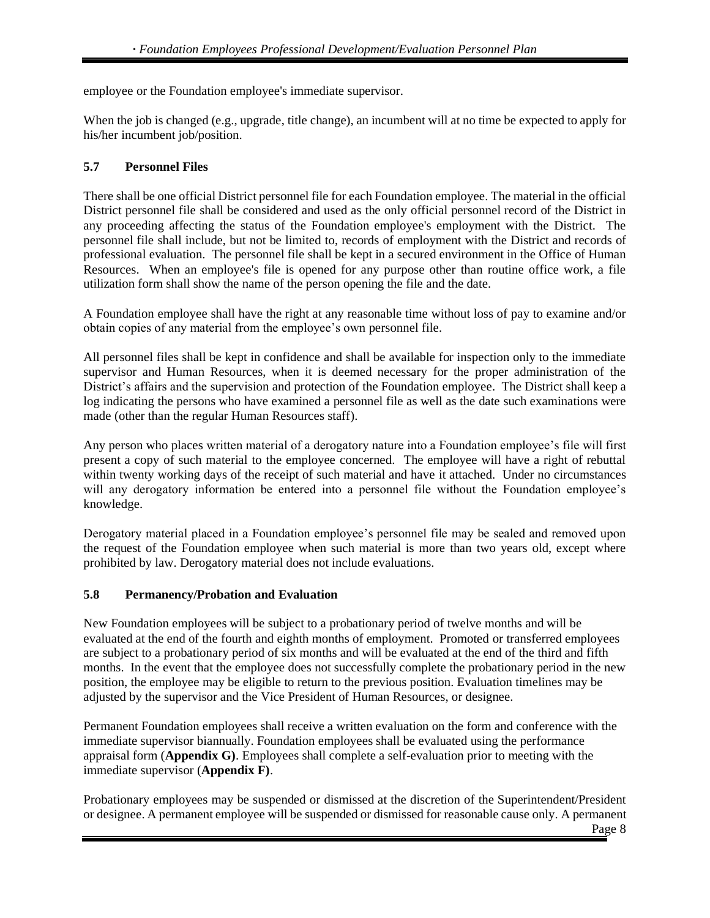employee or the Foundation employee's immediate supervisor.

When the job is changed (e.g., upgrade, title change), an incumbent will at no time be expected to apply for his/her incumbent job/position.

#### <span id="page-7-0"></span>**5.7 Personnel Files**

There shall be one official District personnel file for each Foundation employee. The material in the official District personnel file shall be considered and used as the only official personnel record of the District in any proceeding affecting the status of the Foundation employee's employment with the District. The personnel file shall include, but not be limited to, records of employment with the District and records of professional evaluation. The personnel file shall be kept in a secured environment in the Office of Human Resources. When an employee's file is opened for any purpose other than routine office work, a file utilization form shall show the name of the person opening the file and the date.

A Foundation employee shall have the right at any reasonable time without loss of pay to examine and/or obtain copies of any material from the employee's own personnel file.

All personnel files shall be kept in confidence and shall be available for inspection only to the immediate supervisor and Human Resources, when it is deemed necessary for the proper administration of the District's affairs and the supervision and protection of the Foundation employee. The District shall keep a log indicating the persons who have examined a personnel file as well as the date such examinations were made (other than the regular Human Resources staff).

Any person who places written material of a derogatory nature into a Foundation employee's file will first present a copy of such material to the employee concerned. The employee will have a right of rebuttal within twenty working days of the receipt of such material and have it attached. Under no circumstances will any derogatory information be entered into a personnel file without the Foundation employee's knowledge.

Derogatory material placed in a Foundation employee's personnel file may be sealed and removed upon the request of the Foundation employee when such material is more than two years old, except where prohibited by law. Derogatory material does not include evaluations.

#### <span id="page-7-1"></span>**5.8 Permanency/Probation and Evaluation**

New Foundation employees will be subject to a probationary period of twelve months and will be evaluated at the end of the fourth and eighth months of employment. Promoted or transferred employees are subject to a probationary period of six months and will be evaluated at the end of the third and fifth months. In the event that the employee does not successfully complete the probationary period in the new position, the employee may be eligible to return to the previous position. Evaluation timelines may be adjusted by the supervisor and the Vice President of Human Resources, or designee.

Permanent Foundation employees shall receive a written evaluation on the form and conference with the immediate supervisor biannually. Foundation employees shall be evaluated using the performance appraisal form (**Appendix G)**. Employees shall complete a self-evaluation prior to meeting with the immediate supervisor (**Appendix F)**.

Probationary employees may be suspended or dismissed at the discretion of the Superintendent/President or designee. A permanent employee will be suspended or dismissed for reasonable cause only. A permanent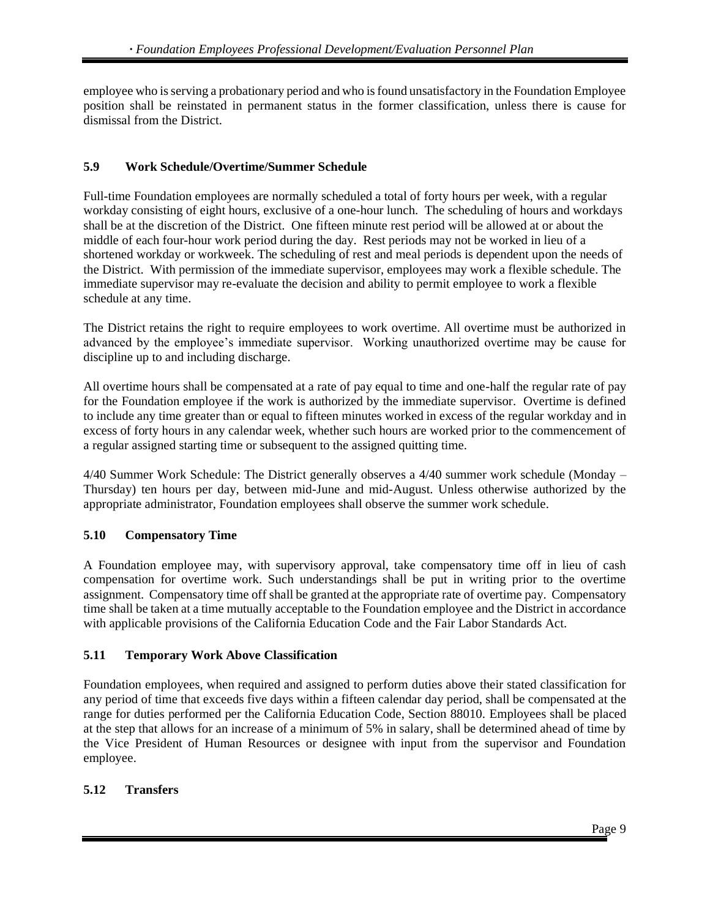employee who is serving a probationary period and who is found unsatisfactory in the Foundation Employee position shall be reinstated in permanent status in the former classification, unless there is cause for dismissal from the District.

#### <span id="page-8-0"></span>**5.9 Work Schedule/Overtime/Summer Schedule**

Full-time Foundation employees are normally scheduled a total of forty hours per week, with a regular workday consisting of eight hours, exclusive of a one-hour lunch. The scheduling of hours and workdays shall be at the discretion of the District. One fifteen minute rest period will be allowed at or about the middle of each four-hour work period during the day. Rest periods may not be worked in lieu of a shortened workday or workweek. The scheduling of rest and meal periods is dependent upon the needs of the District. With permission of the immediate supervisor, employees may work a flexible schedule. The immediate supervisor may re-evaluate the decision and ability to permit employee to work a flexible schedule at any time.

The District retains the right to require employees to work overtime. All overtime must be authorized in advanced by the employee's immediate supervisor. Working unauthorized overtime may be cause for discipline up to and including discharge.

All overtime hours shall be compensated at a rate of pay equal to time and one-half the regular rate of pay for the Foundation employee if the work is authorized by the immediate supervisor. Overtime is defined to include any time greater than or equal to fifteen minutes worked in excess of the regular workday and in excess of forty hours in any calendar week, whether such hours are worked prior to the commencement of a regular assigned starting time or subsequent to the assigned quitting time.

4/40 Summer Work Schedule: The District generally observes a 4/40 summer work schedule (Monday – Thursday) ten hours per day, between mid-June and mid-August. Unless otherwise authorized by the appropriate administrator, Foundation employees shall observe the summer work schedule.

#### <span id="page-8-1"></span>**5.10 Compensatory Time**

A Foundation employee may, with supervisory approval, take compensatory time off in lieu of cash compensation for overtime work. Such understandings shall be put in writing prior to the overtime assignment. Compensatory time off shall be granted at the appropriate rate of overtime pay. Compensatory time shall be taken at a time mutually acceptable to the Foundation employee and the District in accordance with applicable provisions of the California Education Code and the Fair Labor Standards Act.

#### <span id="page-8-2"></span>**5.11 Temporary Work Above Classification**

Foundation employees, when required and assigned to perform duties above their stated classification for any period of time that exceeds five days within a fifteen calendar day period, shall be compensated at the range for duties performed per the California Education Code, Section 88010. Employees shall be placed at the step that allows for an increase of a minimum of 5% in salary, shall be determined ahead of time by the Vice President of Human Resources or designee with input from the supervisor and Foundation employee.

#### <span id="page-8-3"></span>**5.12 Transfers**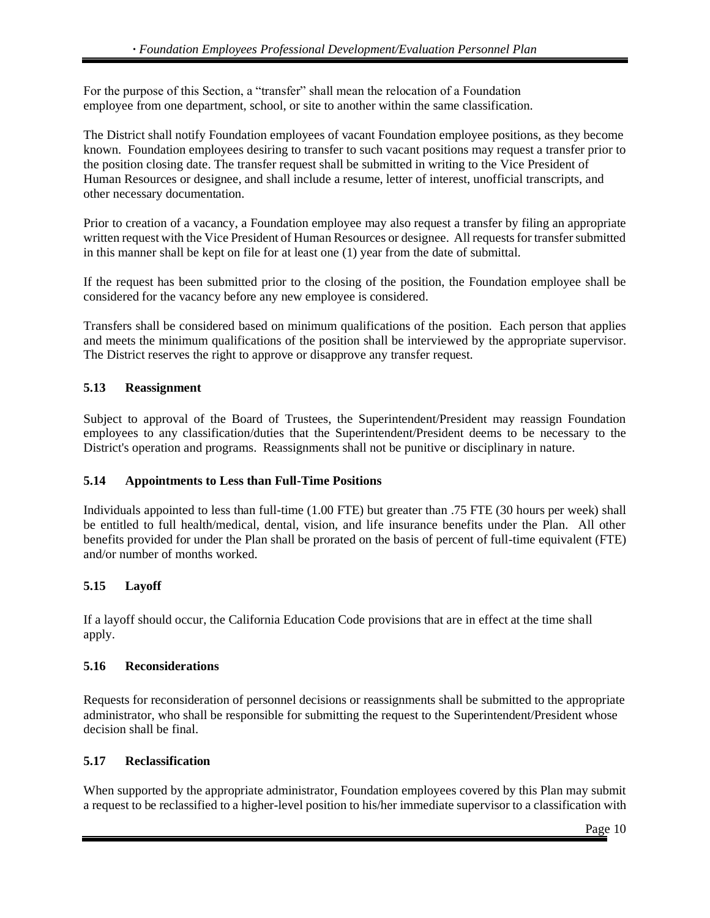For the purpose of this Section, a "transfer" shall mean the relocation of a Foundation employee from one department, school, or site to another within the same classification.

The District shall notify Foundation employees of vacant Foundation employee positions, as they become known. Foundation employees desiring to transfer to such vacant positions may request a transfer prior to the position closing date. The transfer request shall be submitted in writing to the Vice President of Human Resources or designee, and shall include a resume, letter of interest, unofficial transcripts, and other necessary documentation.

Prior to creation of a vacancy, a Foundation employee may also request a transfer by filing an appropriate written request with the Vice President of Human Resources or designee. All requests for transfer submitted in this manner shall be kept on file for at least one (1) year from the date of submittal.

If the request has been submitted prior to the closing of the position, the Foundation employee shall be considered for the vacancy before any new employee is considered.

Transfers shall be considered based on minimum qualifications of the position. Each person that applies and meets the minimum qualifications of the position shall be interviewed by the appropriate supervisor. The District reserves the right to approve or disapprove any transfer request.

#### <span id="page-9-0"></span>**5.13 Reassignment**

Subject to approval of the Board of Trustees, the Superintendent/President may reassign Foundation employees to any classification/duties that the Superintendent/President deems to be necessary to the District's operation and programs. Reassignments shall not be punitive or disciplinary in nature.

#### <span id="page-9-1"></span>**5.14 Appointments to Less than Full-Time Positions**

Individuals appointed to less than full-time (1.00 FTE) but greater than .75 FTE (30 hours per week) shall be entitled to full health/medical, dental, vision, and life insurance benefits under the Plan. All other benefits provided for under the Plan shall be prorated on the basis of percent of full-time equivalent (FTE) and/or number of months worked.

#### <span id="page-9-2"></span>**5.15 Layoff**

<span id="page-9-3"></span>If a layoff should occur, the California Education Code provisions that are in effect at the time shall apply.

#### <span id="page-9-4"></span>**5.16 Reconsiderations**

<span id="page-9-5"></span>Requests for reconsideration of personnel decisions or reassignments shall be submitted to the appropriate administrator, who shall be responsible for submitting the request to the Superintendent/President whose decision shall be final.

#### <span id="page-9-6"></span>**5.17 Reclassification**

When supported by the appropriate administrator, Foundation employees covered by this Plan may submit a request to be reclassified to a higher-level position to his/her immediate supervisor to a classification with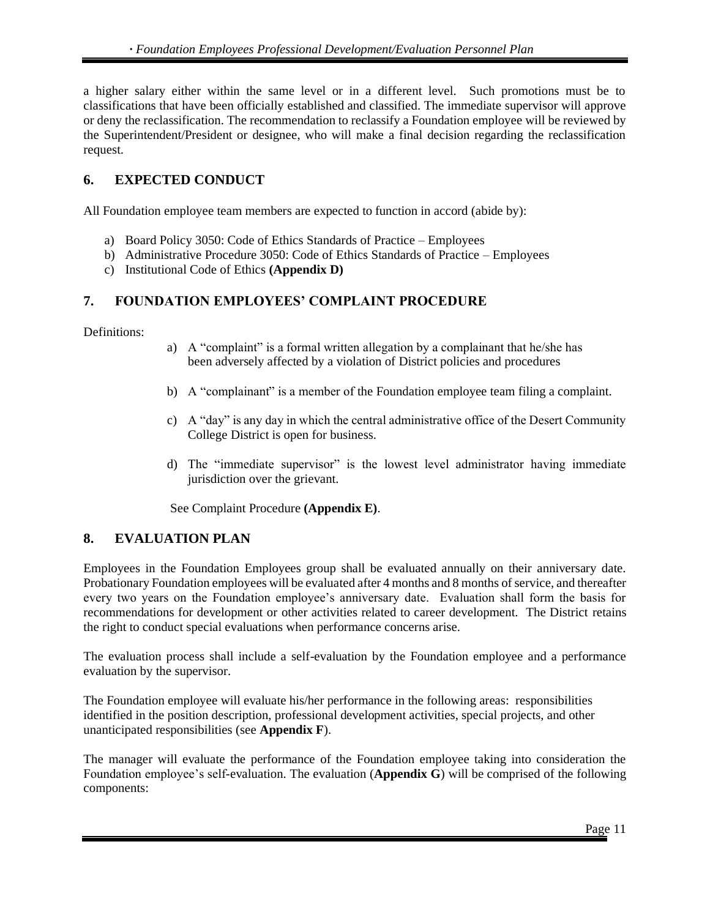a higher salary either within the same level or in a different level. Such promotions must be to classifications that have been officially established and classified. The immediate supervisor will approve or deny the reclassification. The recommendation to reclassify a Foundation employee will be reviewed by the Superintendent/President or designee, who will make a final decision regarding the reclassification request.

# <span id="page-10-0"></span>**6. EXPECTED CONDUCT**

All Foundation employee team members are expected to function in accord (abide by):

- a) Board Policy 3050: Code of Ethics Standards of Practice Employees
- b) Administrative Procedure 3050: Code of Ethics Standards of Practice Employees
- c) Institutional Code of Ethics **(Appendix D)**

#### <span id="page-10-1"></span>**7. FOUNDATION EMPLOYEES' COMPLAINT PROCEDURE**

Definitions:

- a) A "complaint" is a formal written allegation by a complainant that he/she has been adversely affected by a violation of District policies and procedures
- b) A "complainant" is a member of the Foundation employee team filing a complaint.
- c) A "day" is any day in which the central administrative office of the Desert Community College District is open for business.
- d) The "immediate supervisor" is the lowest level administrator having immediate jurisdiction over the grievant.

See Complaint Procedure **(Appendix E)**.

# <span id="page-10-2"></span>**8. EVALUATION PLAN**

Employees in the Foundation Employees group shall be evaluated annually on their anniversary date. Probationary Foundation employees will be evaluated after 4 months and 8 months of service, and thereafter every two years on the Foundation employee's anniversary date. Evaluation shall form the basis for recommendations for development or other activities related to career development. The District retains the right to conduct special evaluations when performance concerns arise.

The evaluation process shall include a self-evaluation by the Foundation employee and a performance evaluation by the supervisor.

The Foundation employee will evaluate his/her performance in the following areas: responsibilities identified in the position description, professional development activities, special projects, and other unanticipated responsibilities (see **Appendix F**).

The manager will evaluate the performance of the Foundation employee taking into consideration the Foundation employee's self-evaluation. The evaluation (**Appendix G**) will be comprised of the following components: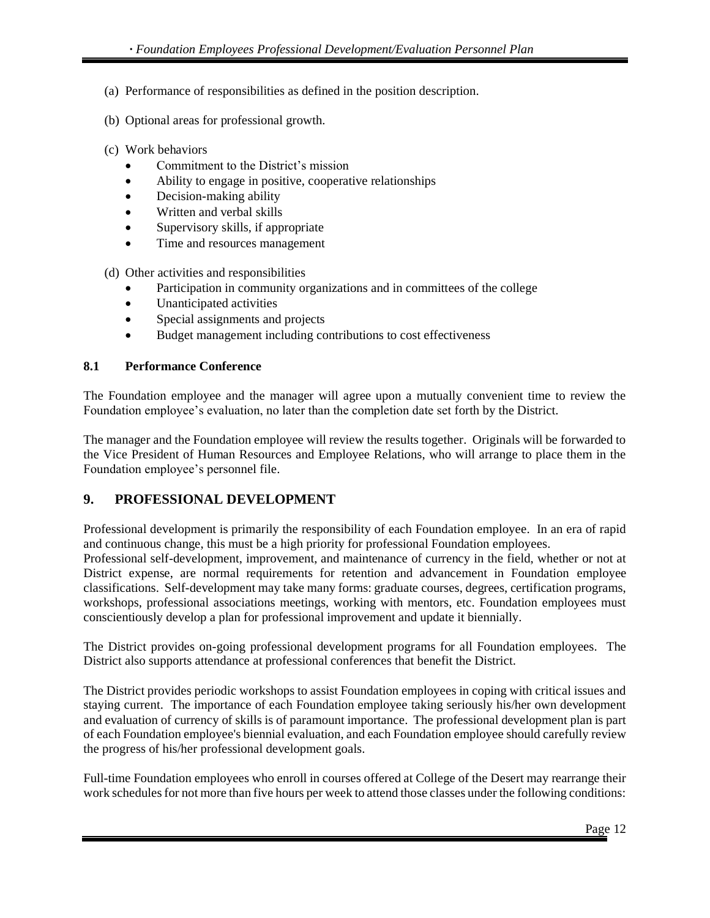- (a) Performance of responsibilities as defined in the position description.
- (b) Optional areas for professional growth.
- (c) Work behaviors
	- Commitment to the District's mission
	- Ability to engage in positive, cooperative relationships
	- Decision-making ability
	- Written and verbal skills
	- Supervisory skills, if appropriate
	- Time and resources management
- (d) Other activities and responsibilities
	- Participation in community organizations and in committees of the college
	- Unanticipated activities
	- Special assignments and projects
	- Budget management including contributions to cost effectiveness

#### <span id="page-11-0"></span>**8.1 Performance Conference**

The Foundation employee and the manager will agree upon a mutually convenient time to review the Foundation employee's evaluation, no later than the completion date set forth by the District.

The manager and the Foundation employee will review the results together. Originals will be forwarded to the Vice President of Human Resources and Employee Relations, who will arrange to place them in the Foundation employee's personnel file.

#### <span id="page-11-1"></span>**9. PROFESSIONAL DEVELOPMENT**

Professional development is primarily the responsibility of each Foundation employee. In an era of rapid and continuous change, this must be a high priority for professional Foundation employees.

Professional self-development, improvement, and maintenance of currency in the field, whether or not at District expense, are normal requirements for retention and advancement in Foundation employee classifications. Self-development may take many forms: graduate courses, degrees, certification programs, workshops, professional associations meetings, working with mentors, etc. Foundation employees must conscientiously develop a plan for professional improvement and update it biennially.

The District provides on-going professional development programs for all Foundation employees. The District also supports attendance at professional conferences that benefit the District.

The District provides periodic workshops to assist Foundation employees in coping with critical issues and staying current. The importance of each Foundation employee taking seriously his/her own development and evaluation of currency of skills is of paramount importance. The professional development plan is part of each Foundation employee's biennial evaluation, and each Foundation employee should carefully review the progress of his/her professional development goals.

Full-time Foundation employees who enroll in courses offered at College of the Desert may rearrange their work schedules for not more than five hours per week to attend those classes under the following conditions: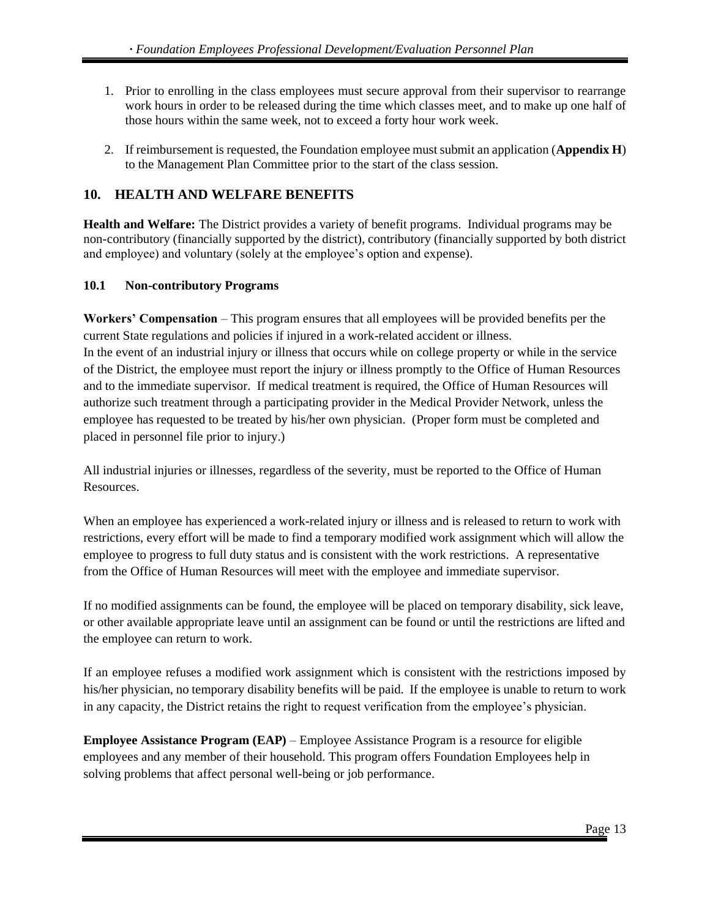- 1. Prior to enrolling in the class employees must secure approval from their supervisor to rearrange work hours in order to be released during the time which classes meet, and to make up one half of those hours within the same week, not to exceed a forty hour work week.
- 2. If reimbursement is requested, the Foundation employee must submit an application (**Appendix H**) to the Management Plan Committee prior to the start of the class session.

# <span id="page-12-0"></span>**10. HEALTH AND WELFARE BENEFITS**

**Health and Welfare:** The District provides a variety of benefit programs. Individual programs may be non-contributory (financially supported by the district), contributory (financially supported by both district and employee) and voluntary (solely at the employee's option and expense).

#### <span id="page-12-1"></span>**10.1 Non-contributory Programs**

**Workers' Compensation** – This program ensures that all employees will be provided benefits per the current State regulations and policies if injured in a work-related accident or illness.

In the event of an industrial injury or illness that occurs while on college property or while in the service of the District, the employee must report the injury or illness promptly to the Office of Human Resources and to the immediate supervisor. If medical treatment is required, the Office of Human Resources will authorize such treatment through a participating provider in the Medical Provider Network, unless the employee has requested to be treated by his/her own physician. (Proper form must be completed and placed in personnel file prior to injury.)

All industrial injuries or illnesses, regardless of the severity, must be reported to the Office of Human Resources.

When an employee has experienced a work-related injury or illness and is released to return to work with restrictions, every effort will be made to find a temporary modified work assignment which will allow the employee to progress to full duty status and is consistent with the work restrictions. A representative from the Office of Human Resources will meet with the employee and immediate supervisor.

If no modified assignments can be found, the employee will be placed on temporary disability, sick leave, or other available appropriate leave until an assignment can be found or until the restrictions are lifted and the employee can return to work.

If an employee refuses a modified work assignment which is consistent with the restrictions imposed by his/her physician, no temporary disability benefits will be paid. If the employee is unable to return to work in any capacity, the District retains the right to request verification from the employee's physician.

**Employee Assistance Program (EAP)** – Employee Assistance Program is a resource for eligible employees and any member of their household. This program offers Foundation Employees help in solving problems that affect personal well-being or job performance.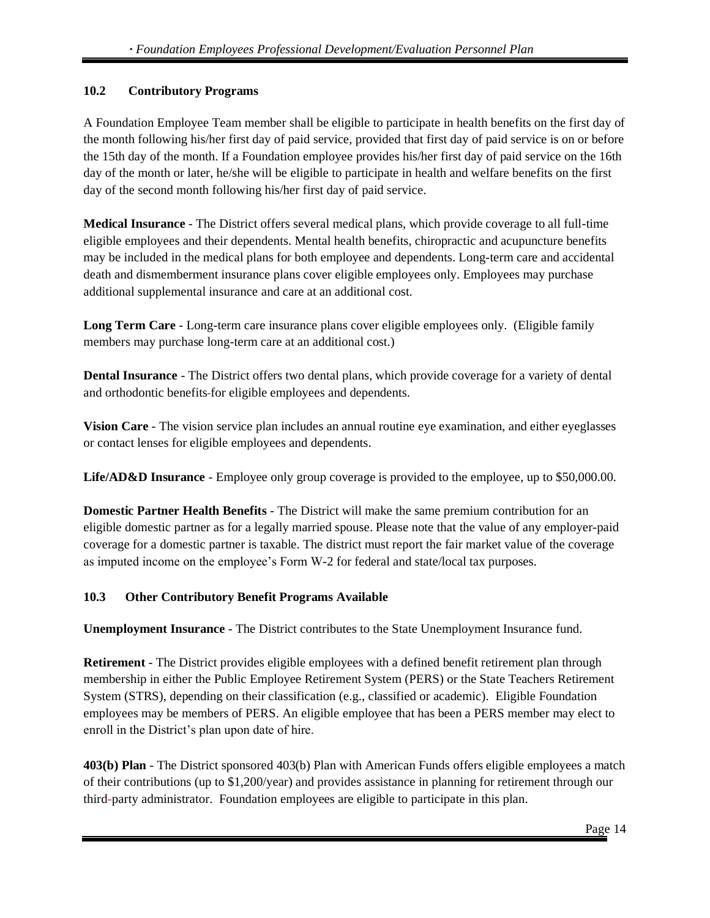# <span id="page-13-0"></span>**10.2 Contributory Programs**

A Foundation Employee Team member shall be eligible to participate in health benefits on the first day of the month following his/her first day of paid service, provided that first day of paid service is on or before the 15th day of the month. If a Foundation employee provides his/her first day of paid service on the 16th day of the month or later, he/she will be eligible to participate in health and welfare benefits on the first day of the second month following his/her first day of paid service.

**Medical Insurance** *-* The District offers several medical plans, which provide coverage to all full-time eligible employees and their dependents. Mental health benefits, chiropractic and acupuncture benefits may be included in the medical plans for both employee and dependents. Long-term care and accidental death and dismemberment insurance plans cover eligible employees only. Employees may purchase additional supplemental insurance and care at an additional cost.

**Long Term Care** - Long-term care insurance plans cover eligible employees only. (Eligible family members may purchase long-term care at an additional cost.)

**Dental Insurance** *-* The District offers two dental plans, which provide coverage for a variety of dental and orthodontic benefits for eligible employees and dependents.

**Vision Care** *-* The vision service plan includes an annual routine eye examination, and either eyeglasses or contact lenses for eligible employees and dependents.

**Life/AD&D Insurance** *-* Employee only group coverage is provided to the employee, up to \$50,000.00.

**Domestic Partner Health Benefits** *-* The District will make the same premium contribution for an eligible domestic partner as for a legally married spouse. Please note that the value of any employer-paid coverage for a domestic partner is taxable. The district must report the fair market value of the coverage as imputed income on the employee's Form W-2 for federal and state/local tax purposes.

# <span id="page-13-1"></span>**10.3 Other Contributory Benefit Programs Available**

**Unemployment Insurance** - The District contributes to the State Unemployment Insurance fund.

**Retirement** *-* The District provides eligible employees with a defined benefit retirement plan through membership in either the Public Employee Retirement System (PERS) or the State Teachers Retirement System (STRS), depending on their classification (e.g., classified or academic). Eligible Foundation employees may be members of PERS. An eligible employee that has been a PERS member may elect to enroll in the District's plan upon date of hire.

**403(b) Plan** *-* The District sponsored 403(b) Plan with American Funds offers eligible employees a match of their contributions (up to \$1,200/year) and provides assistance in planning for retirement through our third-party administrator. Foundation employees are eligible to participate in this plan.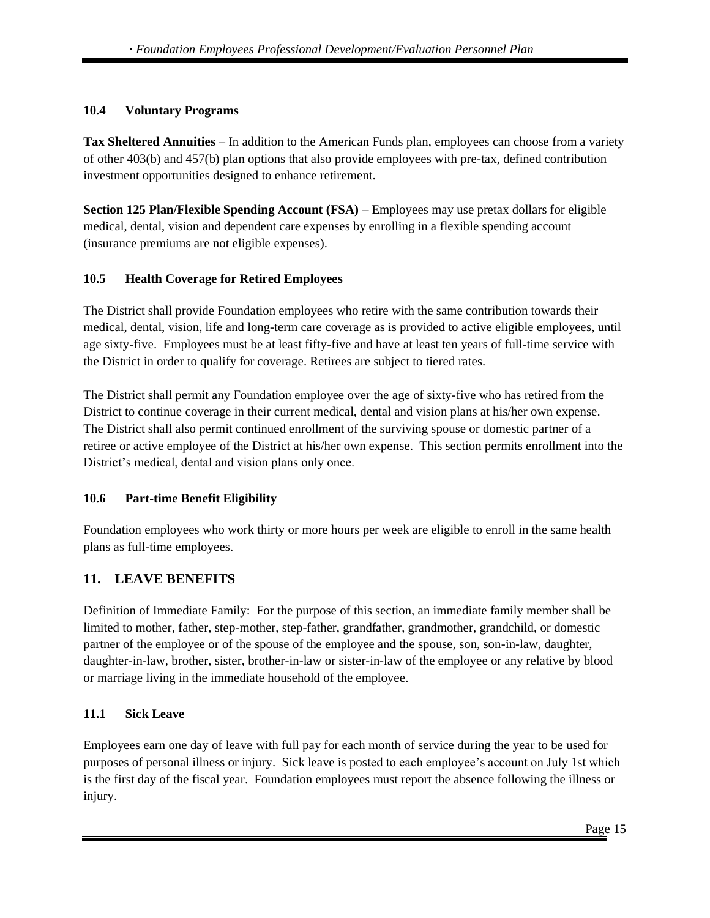#### <span id="page-14-0"></span>**10.4 Voluntary Programs**

**Tax Sheltered Annuities** *–* In addition to the American Funds plan, employees can choose from a variety of other 403(b) and 457(b) plan options that also provide employees with pre-tax, defined contribution investment opportunities designed to enhance retirement.

**Section 125 Plan/Flexible Spending Account (FSA)** – Employees may use pretax dollars for eligible medical, dental, vision and dependent care expenses by enrolling in a flexible spending account (insurance premiums are not eligible expenses).

#### <span id="page-14-1"></span>**10.5 Health Coverage for Retired Employees**

The District shall provide Foundation employees who retire with the same contribution towards their medical, dental, vision, life and long-term care coverage as is provided to active eligible employees, until age sixty-five. Employees must be at least fifty-five and have at least ten years of full-time service with the District in order to qualify for coverage. Retirees are subject to tiered rates.

The District shall permit any Foundation employee over the age of sixty-five who has retired from the District to continue coverage in their current medical, dental and vision plans at his/her own expense. The District shall also permit continued enrollment of the surviving spouse or domestic partner of a retiree or active employee of the District at his/her own expense. This section permits enrollment into the District's medical, dental and vision plans only once.

#### <span id="page-14-2"></span>**10.6 Part-time Benefit Eligibility**

Foundation employees who work thirty or more hours per week are eligible to enroll in the same health plans as full-time employees.

# <span id="page-14-3"></span>**11. LEAVE BENEFITS**

Definition of Immediate Family: For the purpose of this section, an immediate family member shall be limited to mother, father, step-mother, step-father, grandfather, grandmother, grandchild, or domestic partner of the employee or of the spouse of the employee and the spouse, son, son-in-law, daughter, daughter-in-law, brother, sister, brother-in-law or sister-in-law of the employee or any relative by blood or marriage living in the immediate household of the employee.

#### <span id="page-14-4"></span>**11.1 Sick Leave**

Employees earn one day of leave with full pay for each month of service during the year to be used for purposes of personal illness or injury. Sick leave is posted to each employee's account on July 1st which is the first day of the fiscal year. Foundation employees must report the absence following the illness or injury.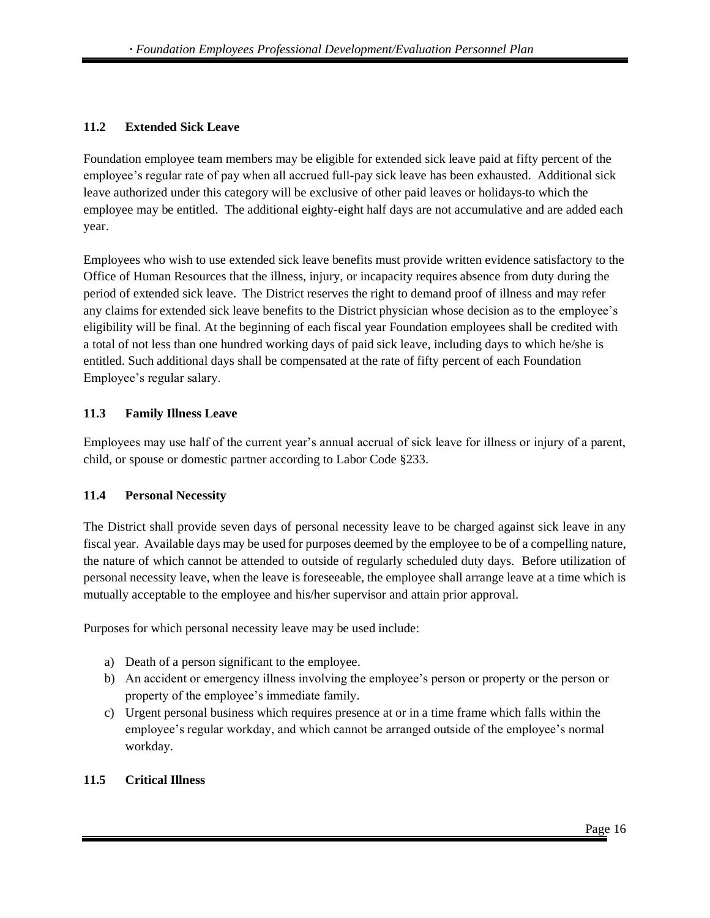#### <span id="page-15-0"></span>**11.2 Extended Sick Leave**

Foundation employee team members may be eligible for extended sick leave paid at fifty percent of the employee's regular rate of pay when all accrued full-pay sick leave has been exhausted. Additional sick leave authorized under this category will be exclusive of other paid leaves or holidays to which the employee may be entitled. The additional eighty-eight half days are not accumulative and are added each year.

Employees who wish to use extended sick leave benefits must provide written evidence satisfactory to the Office of Human Resources that the illness, injury, or incapacity requires absence from duty during the period of extended sick leave. The District reserves the right to demand proof of illness and may refer any claims for extended sick leave benefits to the District physician whose decision as to the employee's eligibility will be final. At the beginning of each fiscal year Foundation employees shall be credited with a total of not less than one hundred working days of paid sick leave, including days to which he/she is entitled. Such additional days shall be compensated at the rate of fifty percent of each Foundation Employee's regular salary.

#### <span id="page-15-1"></span>**11.3 Family Illness Leave**

Employees may use half of the current year's annual accrual of sick leave for illness or injury of a parent, child, or spouse or domestic partner according to Labor Code §233.

#### <span id="page-15-2"></span>**11.4 Personal Necessity**

The District shall provide seven days of personal necessity leave to be charged against sick leave in any fiscal year. Available days may be used for purposes deemed by the employee to be of a compelling nature, the nature of which cannot be attended to outside of regularly scheduled duty days. Before utilization of personal necessity leave, when the leave is foreseeable, the employee shall arrange leave at a time which is mutually acceptable to the employee and his/her supervisor and attain prior approval.

Purposes for which personal necessity leave may be used include:

- a) Death of a person significant to the employee.
- b) An accident or emergency illness involving the employee's person or property or the person or property of the employee's immediate family.
- c) Urgent personal business which requires presence at or in a time frame which falls within the employee's regular workday, and which cannot be arranged outside of the employee's normal workday.

#### <span id="page-15-3"></span>**11.5 Critical Illness**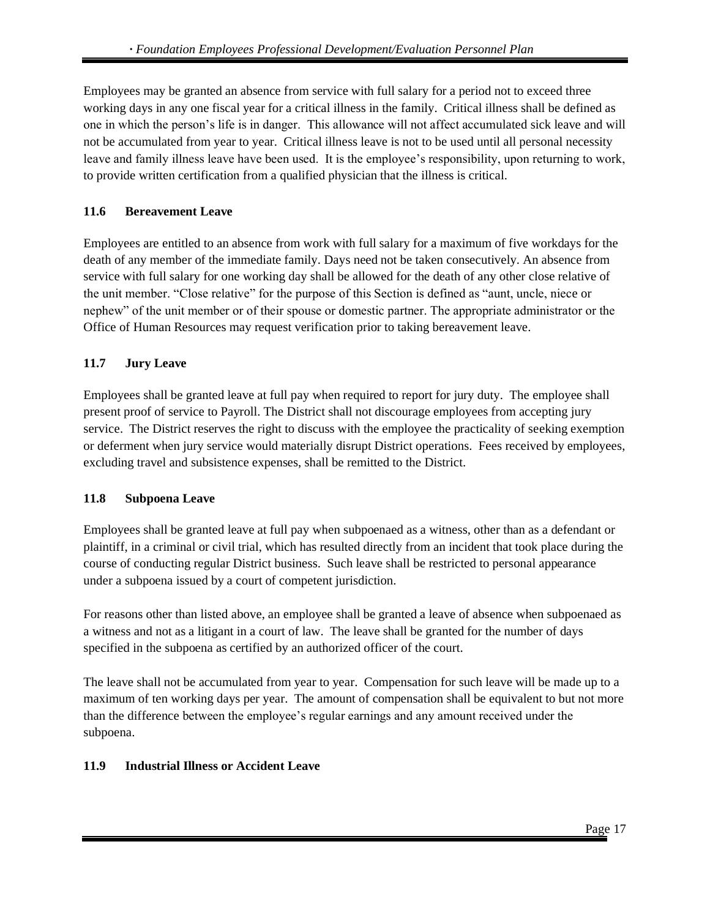Employees may be granted an absence from service with full salary for a period not to exceed three working days in any one fiscal year for a critical illness in the family. Critical illness shall be defined as one in which the person's life is in danger. This allowance will not affect accumulated sick leave and will not be accumulated from year to year. Critical illness leave is not to be used until all personal necessity leave and family illness leave have been used. It is the employee's responsibility, upon returning to work, to provide written certification from a qualified physician that the illness is critical.

# <span id="page-16-0"></span>**11.6 Bereavement Leave**

Employees are entitled to an absence from work with full salary for a maximum of five workdays for the death of any member of the immediate family. Days need not be taken consecutively. An absence from service with full salary for one working day shall be allowed for the death of any other close relative of the unit member. "Close relative" for the purpose of this Section is defined as "aunt, uncle, niece or nephew" of the unit member or of their spouse or domestic partner. The appropriate administrator or the Office of Human Resources may request verification prior to taking bereavement leave.

# <span id="page-16-1"></span>**11.7 Jury Leave**

Employees shall be granted leave at full pay when required to report for jury duty. The employee shall present proof of service to Payroll. The District shall not discourage employees from accepting jury service. The District reserves the right to discuss with the employee the practicality of seeking exemption or deferment when jury service would materially disrupt District operations. Fees received by employees, excluding travel and subsistence expenses, shall be remitted to the District.

# <span id="page-16-2"></span>**11.8 Subpoena Leave**

Employees shall be granted leave at full pay when subpoenaed as a witness, other than as a defendant or plaintiff, in a criminal or civil trial, which has resulted directly from an incident that took place during the course of conducting regular District business. Such leave shall be restricted to personal appearance under a subpoena issued by a court of competent jurisdiction.

For reasons other than listed above, an employee shall be granted a leave of absence when subpoenaed as a witness and not as a litigant in a court of law. The leave shall be granted for the number of days specified in the subpoena as certified by an authorized officer of the court.

The leave shall not be accumulated from year to year. Compensation for such leave will be made up to a maximum of ten working days per year. The amount of compensation shall be equivalent to but not more than the difference between the employee's regular earnings and any amount received under the subpoena.

# <span id="page-16-3"></span>**11.9 Industrial Illness or Accident Leave**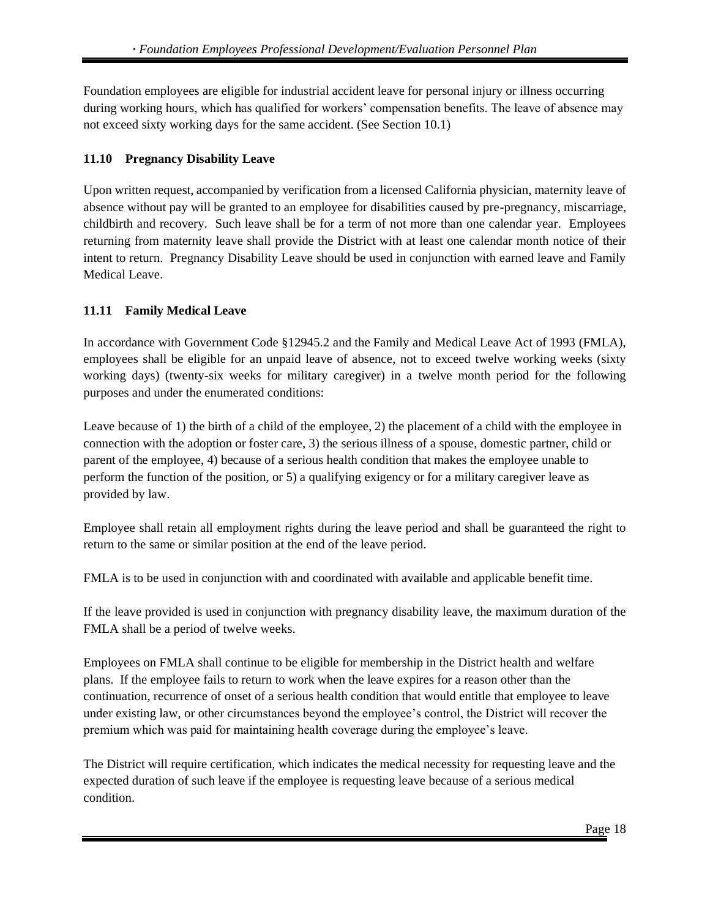Foundation employees are eligible for industrial accident leave for personal injury or illness occurring during working hours, which has qualified for workers' compensation benefits. The leave of absence may not exceed sixty working days for the same accident. (See Section 10.1)

#### <span id="page-17-0"></span>**11.10 Pregnancy Disability Leave**

Upon written request, accompanied by verification from a licensed California physician, maternity leave of absence without pay will be granted to an employee for disabilities caused by pre-pregnancy, miscarriage, childbirth and recovery. Such leave shall be for a term of not more than one calendar year. Employees returning from maternity leave shall provide the District with at least one calendar month notice of their intent to return. Pregnancy Disability Leave should be used in conjunction with earned leave and Family Medical Leave.

#### <span id="page-17-1"></span>**11.11 Family Medical Leave**

In accordance with Government Code §12945.2 and the Family and Medical Leave Act of 1993 (FMLA), employees shall be eligible for an unpaid leave of absence, not to exceed twelve working weeks (sixty working days) (twenty-six weeks for military caregiver) in a twelve month period for the following purposes and under the enumerated conditions:

Leave because of 1) the birth of a child of the employee, 2) the placement of a child with the employee in connection with the adoption or foster care, 3) the serious illness of a spouse, domestic partner, child or parent of the employee, 4) because of a serious health condition that makes the employee unable to perform the function of the position, or 5) a qualifying exigency or for a military caregiver leave as provided by law.

Employee shall retain all employment rights during the leave period and shall be guaranteed the right to return to the same or similar position at the end of the leave period.

FMLA is to be used in conjunction with and coordinated with available and applicable benefit time.

If the leave provided is used in conjunction with pregnancy disability leave, the maximum duration of the FMLA shall be a period of twelve weeks.

Employees on FMLA shall continue to be eligible for membership in the District health and welfare plans. If the employee fails to return to work when the leave expires for a reason other than the continuation, recurrence of onset of a serious health condition that would entitle that employee to leave under existing law, or other circumstances beyond the employee's control, the District will recover the premium which was paid for maintaining health coverage during the employee's leave.

The District will require certification, which indicates the medical necessity for requesting leave and the expected duration of such leave if the employee is requesting leave because of a serious medical condition.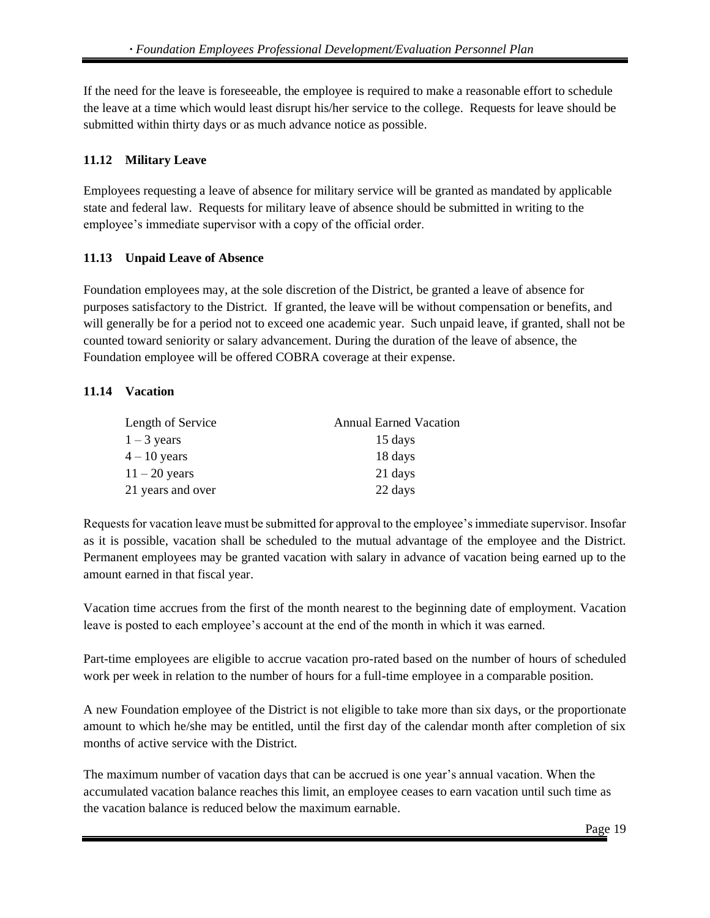If the need for the leave is foreseeable, the employee is required to make a reasonable effort to schedule the leave at a time which would least disrupt his/her service to the college. Requests for leave should be submitted within thirty days or as much advance notice as possible.

# <span id="page-18-0"></span>**11.12 Military Leave**

Employees requesting a leave of absence for military service will be granted as mandated by applicable state and federal law. Requests for military leave of absence should be submitted in writing to the employee's immediate supervisor with a copy of the official order.

# <span id="page-18-1"></span>**11.13 Unpaid Leave of Absence**

Foundation employees may, at the sole discretion of the District, be granted a leave of absence for purposes satisfactory to the District. If granted, the leave will be without compensation or benefits, and will generally be for a period not to exceed one academic year. Such unpaid leave, if granted, shall not be counted toward seniority or salary advancement. During the duration of the leave of absence, the Foundation employee will be offered COBRA coverage at their expense.

# <span id="page-18-2"></span>**11.14 Vacation**

| Length of Service | <b>Annual Earned Vacation</b> |
|-------------------|-------------------------------|
| $1 - 3$ years     | 15 days                       |
| $4 - 10$ years    | 18 days                       |
| $11 - 20$ years   | 21 days                       |
| 21 years and over | 22 days                       |

Requests for vacation leave must be submitted for approval to the employee's immediate supervisor. Insofar as it is possible, vacation shall be scheduled to the mutual advantage of the employee and the District. Permanent employees may be granted vacation with salary in advance of vacation being earned up to the amount earned in that fiscal year.

Vacation time accrues from the first of the month nearest to the beginning date of employment. Vacation leave is posted to each employee's account at the end of the month in which it was earned.

Part-time employees are eligible to accrue vacation pro-rated based on the number of hours of scheduled work per week in relation to the number of hours for a full-time employee in a comparable position.

A new Foundation employee of the District is not eligible to take more than six days, or the proportionate amount to which he/she may be entitled, until the first day of the calendar month after completion of six months of active service with the District.

The maximum number of vacation days that can be accrued is one year's annual vacation. When the accumulated vacation balance reaches this limit, an employee ceases to earn vacation until such time as the vacation balance is reduced below the maximum earnable.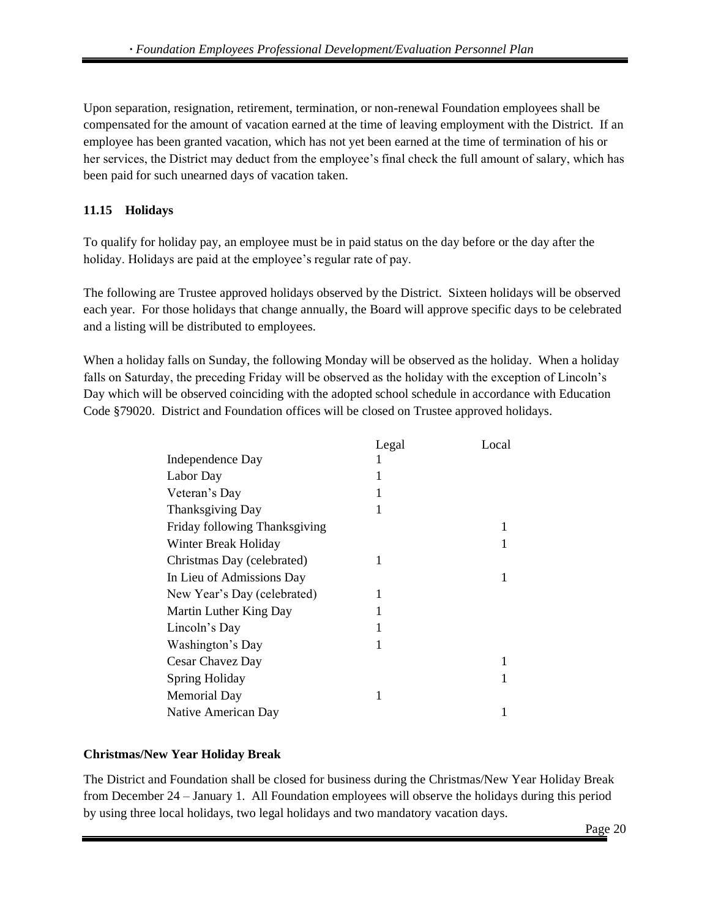Upon separation, resignation, retirement, termination, or non-renewal Foundation employees shall be compensated for the amount of vacation earned at the time of leaving employment with the District. If an employee has been granted vacation, which has not yet been earned at the time of termination of his or her services, the District may deduct from the employee's final check the full amount of salary, which has been paid for such unearned days of vacation taken.

# <span id="page-19-0"></span>**11.15 Holidays**

To qualify for holiday pay, an employee must be in paid status on the day before or the day after the holiday. Holidays are paid at the employee's regular rate of pay.

The following are Trustee approved holidays observed by the District. Sixteen holidays will be observed each year. For those holidays that change annually, the Board will approve specific days to be celebrated and a listing will be distributed to employees.

When a holiday falls on Sunday, the following Monday will be observed as the holiday. When a holiday falls on Saturday, the preceding Friday will be observed as the holiday with the exception of Lincoln's Day which will be observed coinciding with the adopted school schedule in accordance with Education Code §79020. District and Foundation offices will be closed on Trustee approved holidays.

|                               | Legal | Local |
|-------------------------------|-------|-------|
| Independence Day              |       |       |
| Labor Day                     |       |       |
| Veteran's Day                 |       |       |
| <b>Thanksgiving Day</b>       |       |       |
| Friday following Thanksgiving |       | 1     |
| Winter Break Holiday          |       |       |
| Christmas Day (celebrated)    | 1     |       |
| In Lieu of Admissions Day     |       |       |
| New Year's Day (celebrated)   | 1     |       |
| Martin Luther King Day        | 1     |       |
| Lincoln's Day                 |       |       |
| Washington's Day              | 1     |       |
| Cesar Chavez Day              |       |       |
| <b>Spring Holiday</b>         |       |       |
| <b>Memorial Day</b>           | 1     |       |
| Native American Day           |       |       |

# **Christmas/New Year Holiday Break**

The District and Foundation shall be closed for business during the Christmas/New Year Holiday Break from December 24 – January 1. All Foundation employees will observe the holidays during this period by using three local holidays, two legal holidays and two mandatory vacation days.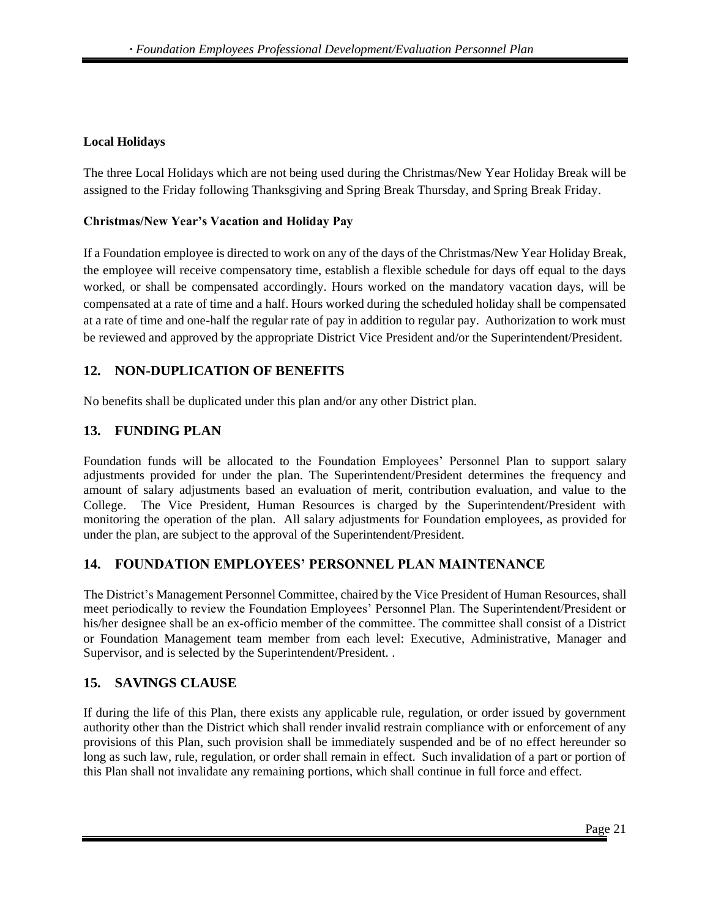#### **Local Holidays**

The three Local Holidays which are not being used during the Christmas/New Year Holiday Break will be assigned to the Friday following Thanksgiving and Spring Break Thursday, and Spring Break Friday.

#### **Christmas/New Year's Vacation and Holiday Pay**

If a Foundation employee is directed to work on any of the days of the Christmas/New Year Holiday Break, the employee will receive compensatory time, establish a flexible schedule for days off equal to the days worked, or shall be compensated accordingly. Hours worked on the mandatory vacation days, will be compensated at a rate of time and a half. Hours worked during the scheduled holiday shall be compensated at a rate of time and one-half the regular rate of pay in addition to regular pay. Authorization to work must be reviewed and approved by the appropriate District Vice President and/or the Superintendent/President.

# <span id="page-20-0"></span>**12. NON-DUPLICATION OF BENEFITS**

No benefits shall be duplicated under this plan and/or any other District plan.

#### <span id="page-20-1"></span>**13. FUNDING PLAN**

Foundation funds will be allocated to the Foundation Employees' Personnel Plan to support salary adjustments provided for under the plan. The Superintendent/President determines the frequency and amount of salary adjustments based an evaluation of merit, contribution evaluation, and value to the College. The Vice President, Human Resources is charged by the Superintendent/President with monitoring the operation of the plan. All salary adjustments for Foundation employees, as provided for under the plan, are subject to the approval of the Superintendent/President.

# <span id="page-20-2"></span>**14. FOUNDATION EMPLOYEES' PERSONNEL PLAN MAINTENANCE**

The District's Management Personnel Committee, chaired by the Vice President of Human Resources, shall meet periodically to review the Foundation Employees' Personnel Plan. The Superintendent/President or his/her designee shall be an ex-officio member of the committee. The committee shall consist of a District or Foundation Management team member from each level: Executive, Administrative, Manager and Supervisor, and is selected by the Superintendent/President. .

# <span id="page-20-3"></span>**15. SAVINGS CLAUSE**

If during the life of this Plan, there exists any applicable rule, regulation, or order issued by government authority other than the District which shall render invalid restrain compliance with or enforcement of any provisions of this Plan, such provision shall be immediately suspended and be of no effect hereunder so long as such law, rule, regulation, or order shall remain in effect. Such invalidation of a part or portion of this Plan shall not invalidate any remaining portions, which shall continue in full force and effect.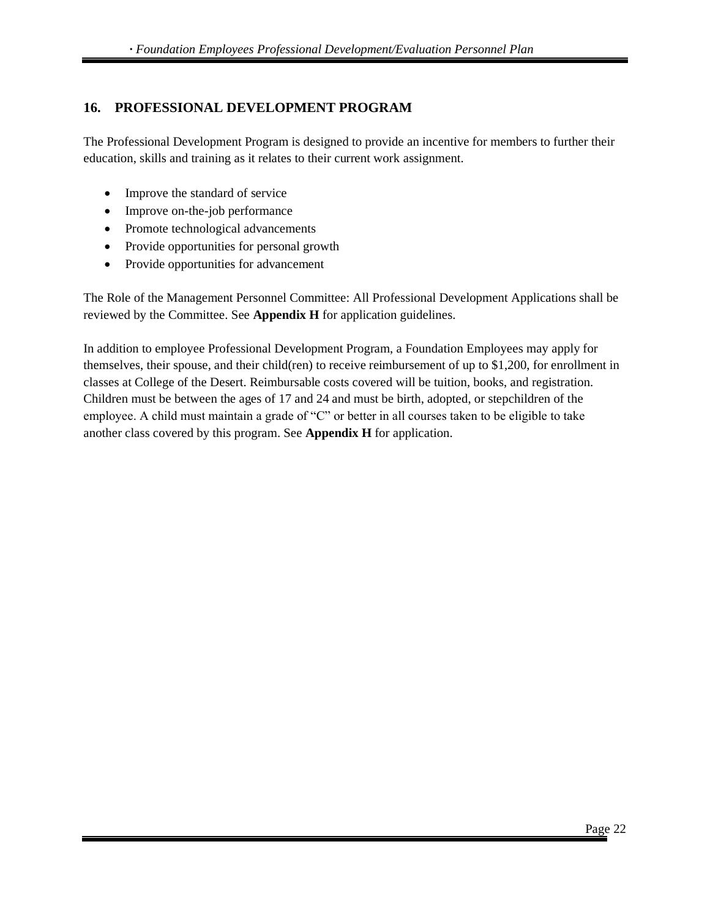# <span id="page-21-0"></span>**16. PROFESSIONAL DEVELOPMENT PROGRAM**

The Professional Development Program is designed to provide an incentive for members to further their education, skills and training as it relates to their current work assignment.

- Improve the standard of service
- Improve on-the-job performance
- Promote technological advancements
- Provide opportunities for personal growth
- Provide opportunities for advancement

The Role of the Management Personnel Committee: All Professional Development Applications shall be reviewed by the Committee. See **Appendix H** for application guidelines.

In addition to employee Professional Development Program, a Foundation Employees may apply for themselves, their spouse, and their child(ren) to receive reimbursement of up to \$1,200, for enrollment in classes at College of the Desert. Reimbursable costs covered will be tuition, books, and registration. Children must be between the ages of 17 and 24 and must be birth, adopted, or stepchildren of the employee. A child must maintain a grade of "C" or better in all courses taken to be eligible to take another class covered by this program. See **Appendix H** for application.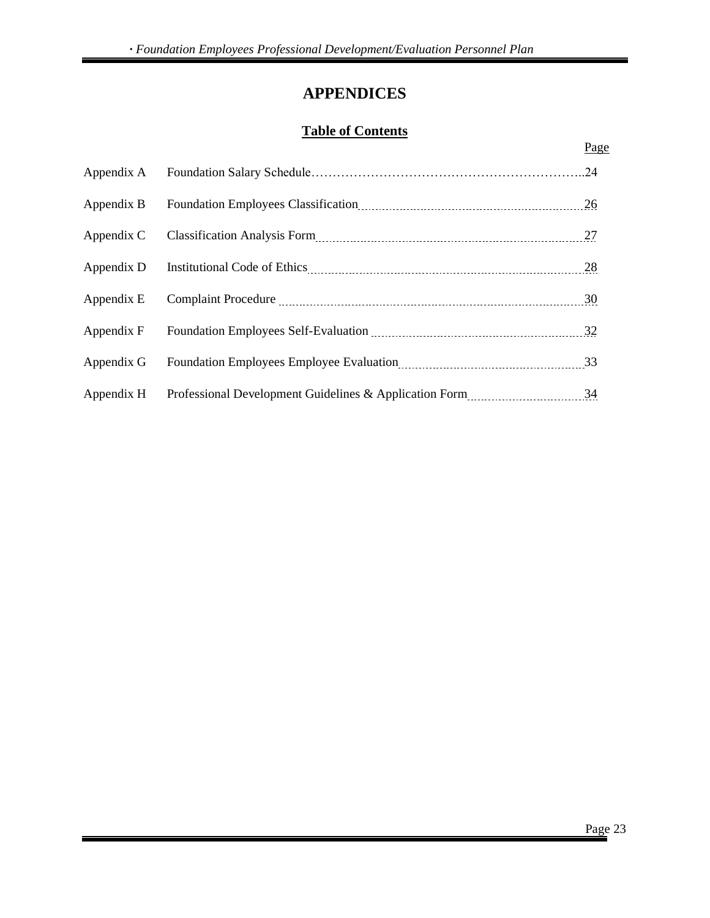# **APPENDICES**

# **Table of Contents**

<span id="page-22-0"></span>

|            | Page |
|------------|------|
| Appendix A |      |
| Appendix B | 26   |
| Appendix C | 27   |
| Appendix D | 28   |
| Appendix E | 30   |
| Appendix F | 32   |
| Appendix G | 33   |
| Appendix H | 34   |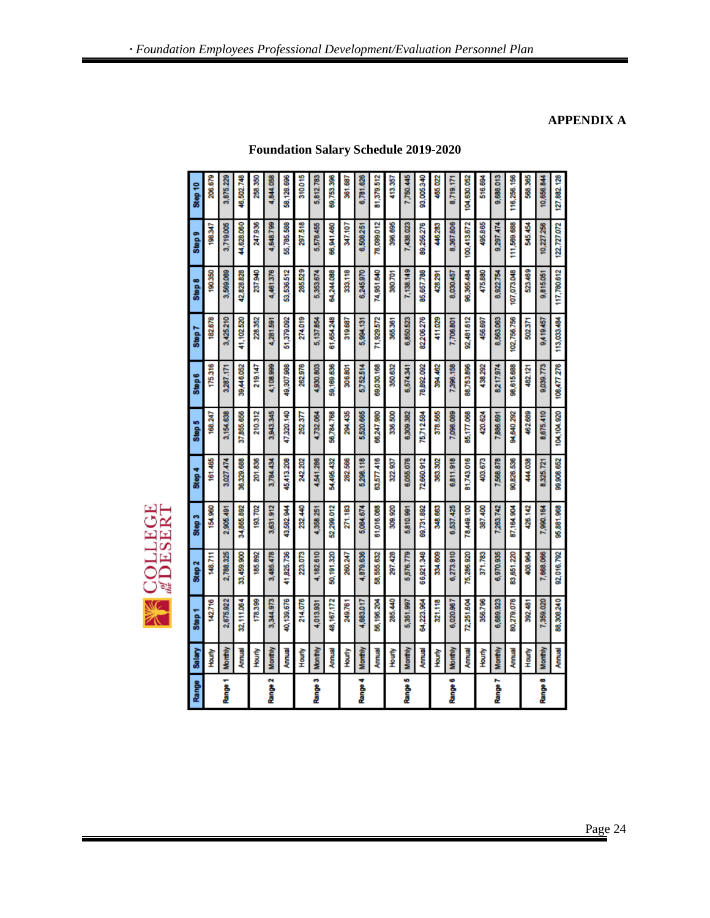# **SEPTE COLLEGE**

| Range   | Salary         | Step <sup>1</sup> | Step 2     | Step 3     | Step 4     | Step 5            | Step6       | Step 7      | Step 8      | Step 9      | Step 10     |
|---------|----------------|-------------------|------------|------------|------------|-------------------|-------------|-------------|-------------|-------------|-------------|
|         | 全<br>全         | 142.716           | 148.711    | 154,960    | 161,465    | 168.247           | 175,316     | 182.678     | 190,350     | 198.347     | 206.679     |
| Range 1 | Monthly        | 2,675.922         | 2,788.325  | 2,905.491  | 3,027.474  | 3,154.638         | 3,287.171   | 3,425210    | 3,569.069   | 3,719,005   | 3,875.229   |
|         | Annual         | 32,111.064        | 33,459.900 | 34,865.892 | 36,329.688 | 37,855.656        | 39,446.052  | 41,102.520  | 42,828.828  | 44,628.060  | 46,502.748  |
|         | <b>Hourly</b>  | 178,399           | 185,892    | 193,702    | 201.836    | 210.312           | 219.147     | 228,352     | 237,940     | 247,936     | 258,350     |
| Range 2 | Monthly        | 3,344.973         | 3,485.478  | 3,631.912  | 3,784.434  | 3,943.345         | 4,108.999   | 4,281.591   | 4,461,376   | 4,648.799   | 4,844.058   |
|         | Annual         | 40,139.676        | 41,825.736 | 43,582.944 | 45,413.208 | 47,320.140        | 49,307,988  | 51,379.092  | 53,536,512  | 55,785.588  | 58,128.696  |
|         | <b>Hourly</b>  | 214,076           | 223.073    | 232.440    | 242.202    | 252.377           | 262.976     | 274,019     | 285,529     | 297.518     | 310.015     |
| Range 3 | <b>Monthly</b> | 4,013.931         | 4,182.610  | 4,358.251  | 4,541.286  | 4,732.064         | 4,930.803   | 5,137,854   | 5,353,674   | 5,578,455   | 5,812.783   |
|         | Annual         | 48,167.172        | 50,191.320 | 52,299.012 | 54,495.432 | 56,784.768        | 59,169.636  | 61,654248   | 64,244,088  | 66,941,460  | 69,753.396  |
|         | <b>Hourly</b>  | 249.761           | 260.247    | 271,183    | 282.566    | 294.435           | 306,801     | 319,687     | 333,118     | 347,107     | 361.687     |
| Range 4 | Monthly        | 4,683,017         | 4,879.636  | 5,084.674  | 5,298.118  | 5,520.665         | 5,752.514   | 5,994.131   | 6,245,970   | 6,508251    | 6,781.626   |
|         | Annual         | 56,196.204        | 58,555.632 | 61,016.088 | 63,577.416 | 66,247.980        | 69,030.168  | 71,929.572  | 74,951,640  | 78,099.012  | 81,379.512  |
|         | <b>Houn'y</b>  | 285,440           | 297.428    | 309.920    | 322.937    | 336.500           | 350,632     | 365.361     | 380.701     | 396.695     | 413.357     |
| Range 5 | Monthly        | 5,351.997         | 5,576.779  | 5,810.991  | 6,055.076  | 6,309.382         | 6,574.341   | 6,850,523   | 7,138.149   | 7,438.023   | 7,750.445   |
|         | Annual         | 64,223.964        | 66,921.348 | 69,731.892 | 72,660.912 | 15,712.584        | 78,892.092  | 82,206.276  | 85,657.788  | 89,256,276  | 93,005.340  |
|         | <b>Fourly</b>  | 321.118           | 334.609    | 348.663    | 363.302    | 378.565           | 394,462     | 411.029     | 428.291     | 446.283     | 465.022     |
| Range 6 | Monthly        | 6,020.967         | 6,273.910  | 6,537.425  | 6,811.918  | 7,098.089         | 7,396,158   | 7,706.801   | 8,030,457   | 8,367,806   | 8,719.171   |
|         | <b>Annual</b>  | 72,251,604        | 75,286.920 | 78,449.100 | 81,743.016 | 85,177.068        | 88,753,896  | 92,481,612  | 96,365,484  | 100,413,672 | 104,630.052 |
|         | <b>Hourly</b>  | 356.796           | 371.783    | 387.400    | 403.673    | 420.624           | 438.292     | 456.697     | 475,880     | 495,865     | 516.694     |
| Range 7 | Monthly        | 6,689.923         | 6,970.935  | 7,263,742  | 7,568,878  | 7,886.691         | 8217.974    | 8,563,063   | 8,922.754   | 9,297.474   | 9,688.013   |
|         | Annual         | 80,279.076        | 83,651.220 | 87,164.904 | 90,826.536 | <b>94,640.292</b> | 98,615,688  | 102,756.756 | 07,073,048  | 111,569.688 | 116,256.156 |
|         | Hourly         | 392.481           | 408.964    | 426.142    | 44.038     | 462.689           | 482.121     | 502.371     | 523.469     | 545.454     | 568.365     |
| Range 8 | Monthly        | 7,359.020         | 7,668.066  | 7,990.164  | 8,325,721  | 8,675.410         | 9,039,773   | 9,419,457   | 9,815.051   | 10,227.256  | 10,656.844  |
|         | <b>Annual</b>  | 88,308.240        | 92,016.792 | 95,881.968 | 99,908.652 | 104,104.920       | 108,477 276 | 113,033.484 | 117,780.612 | 122,727.072 | 127,882.128 |

**Foundation Salary Schedule 2019-2020**

# **APPENDIX A**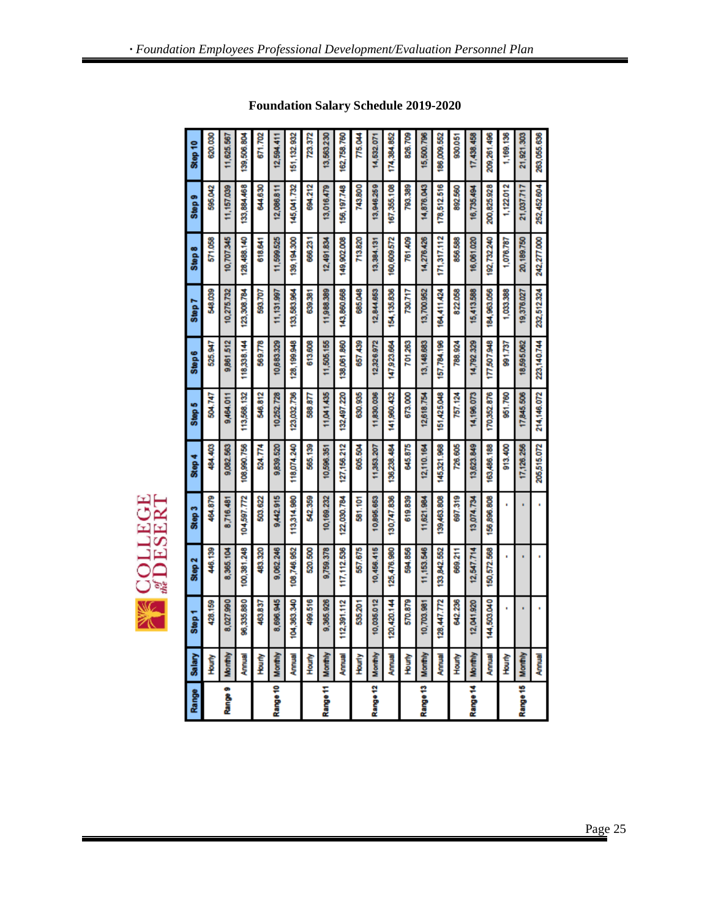| Range    | Salary        | Step 1      | Step 2       | Step 3      | Step 4      | Step 5      | Step6       | Step 7      | Step 8        | Step 9         | Step 10     |
|----------|---------------|-------------|--------------|-------------|-------------|-------------|-------------|-------------|---------------|----------------|-------------|
|          | <b>Foury</b>  | 428,159     | 446,139      | 464,879     | 484,403     | 504.747     | 525.947     | 548,039     | 571,058       | <b>595,042</b> | 620.030     |
| Range 9  | Monthly       | 8,027,990   | 8,385,104    | 8,716.481   | 9,082.563   | 9,464.011   | 9,861,512   | 10,275.732  | 10,707.345    | 11,157.039     | 11,625.567  |
|          | Annual        | 96,335,880  | 100,381.248  | 104,597.772 | 108,990.756 | 113,568.132 | 118,338.144 | 123,308.784 | 128,488.140   | 133,884,468    | 139,506.804 |
|          | <b>Hourly</b> | 463,837     | 483.320      | 503.622     | 524.774     | 546.812     | 569.778     | 593,707     | 618.641       | 844,630        | 671.702     |
| Range 10 | Monthly       | 8,696.945   | 9,062.246    | 9,442.915   | 9,839,520   | 10,252.728  | 10,683,329  | 11,131,997  | 11,599,525    | 12,086.811     | 12,594,41   |
|          | Annual        | 104,363.340 | 108,746.952  | 113,314.980 | 118,074.240 | 123,032.736 | 28,199,948  | 133,583,964 | 139, 194, 300 | 145,041.732    | 151,132.932 |
|          | Hourly        | 499.516     | 520,500      | 542.359     | 565,139     | 588.877     | 613,608     | 639,381     | 666.231       | 894,212        | 723.372     |
| Range 11 | Monthly       | 9,365.926   | 9,759.378    | 10,169.232  | 10,596.351  | 11,041,435  | 11,505.155  | 11,988,389  | 12,491,834    | 13,016,479     | 13,563.230  |
|          | Annual        | 112,391.112 | 117, 112.536 | 122,030.784 | 127,156.212 | 132,497.220 | 138,061,860 | 143,860.668 | 149,902.008   | 156, 197.748   | 162,758.760 |
|          | <b>Hourly</b> | 535.201     | 557.675      | 581,101     | 605.504     | 630,935     | 657,439     | 685,048     | 713.820       | 743,800        | 775.044     |
| Range 12 | Monthly       | 10,035.012  | 10,456.415   | 10,895.653  | 11,353,207  | 11,830.036  | 12,326,972  | 12,844,853  | 13,384.131    | 13,946.259     | 14,532.071  |
|          | Annual        | 120,420.144 | 125,476.980  | 130,747.836 | 136,238.484 | 141,960.432 | 147,923.664 | 154,135,836 | 160,609.572   | 167,355.108    | 174,384.852 |
|          | <b>Fourly</b> | 570,879     | 594,856      | 619,839     | 645,875     | 673.000     | 701263      | 730.717     | 761,409       | 793,389        | 826,709     |
| Range 13 | Monthly       | 10,703.981  | 11,153.546   | 11,621.984  | 12,110.164  | 12,618.754  | 13,148,683  | 13,700.952  | 14,276,426    | 14,876.043     | 15,500.796  |
|          | <b>Annual</b> | 128,447.772 | 133,842.552  | 139,463.808 | 145,321.968 | 151,425,048 | 157,784,196 | 164,411,424 | 171,317,112   | 178,512.516    | 186,009.552 |
|          | <b>Hourly</b> | 642.236     | 669.211      | 697.319     | 726.605     | 757.124     | 788.924     | 822.058     | 856.588       | 892.560        | 930.051     |
| Range 14 | Monthly       | 12,041,920  | 12,547.714   | 13,074,734  | 13,623.849  | 14,196.073  | 14,792.329  | 15,413,588  | 16,061,020    | 16,735,494     | 17,438,458  |
|          | Annual        | 144,503.040 | 150,572.568  | 156,896.808 | 163,486.188 | 170,352.876 | 177,507,948 | 184,963,056 | 192,732240    | 200,825.928    | 209,261.496 |
|          | <b>Hourly</b> |             |              |             | 913.400     | 851.760     | 991.737     | 1,033.388   | 1,076.787     | 1,122.012      | 1,169.136   |
| Range 15 | Monthly       | ä,          |              |             | 17,126.256  | 17,845,506  | 18,595.062  | 19,376,027  | 20,189.750    | 21,037.717     | 21,921.303  |
|          | <b>Annual</b> |             |              |             | 205,515.072 | 214,146.072 | 223,140.744 | 232,512.324 | 242,277.000   | 252,452.604    | 263,055.636 |

**EXECUTE CE** 

**Foundation Salary Schedule 2019-2020**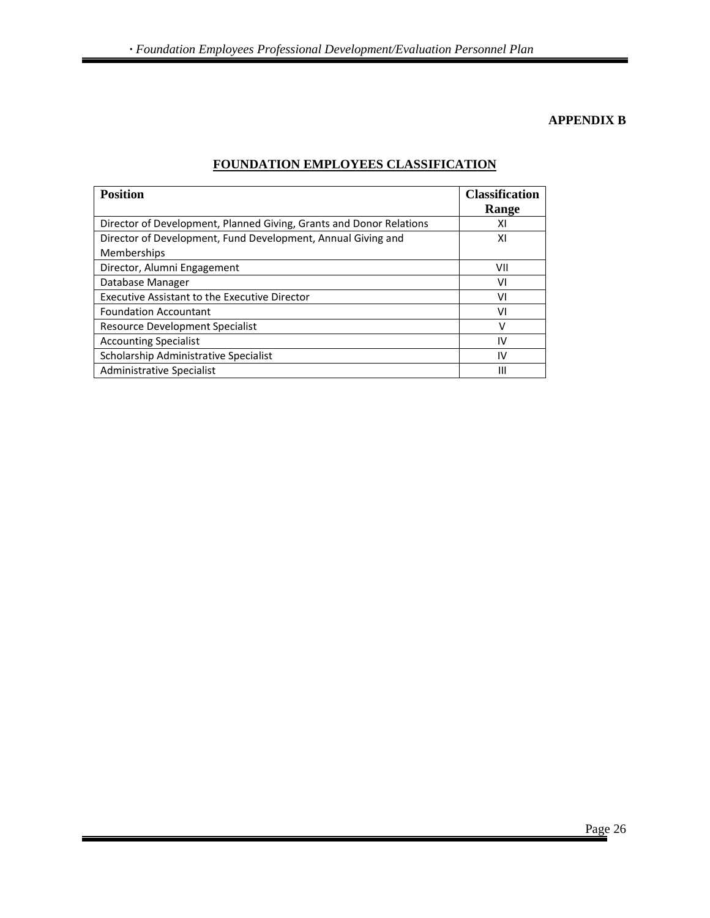#### **APPENDIX B**

| <b>Position</b>                                                             | <b>Classification</b><br>Range |
|-----------------------------------------------------------------------------|--------------------------------|
| Director of Development, Planned Giving, Grants and Donor Relations         | ΧI                             |
| Director of Development, Fund Development, Annual Giving and<br>Memberships | ΧI                             |
| Director, Alumni Engagement                                                 | VII                            |
| Database Manager                                                            | vı                             |
| <b>Executive Assistant to the Executive Director</b>                        | ٧I                             |
| <b>Foundation Accountant</b>                                                | ۷ı                             |
| Resource Development Specialist                                             | v                              |
| <b>Accounting Specialist</b>                                                | IV                             |
| Scholarship Administrative Specialist                                       | IV                             |
| Administrative Specialist                                                   | Ш                              |

#### **FOUNDATION EMPLOYEES CLASSIFICATION**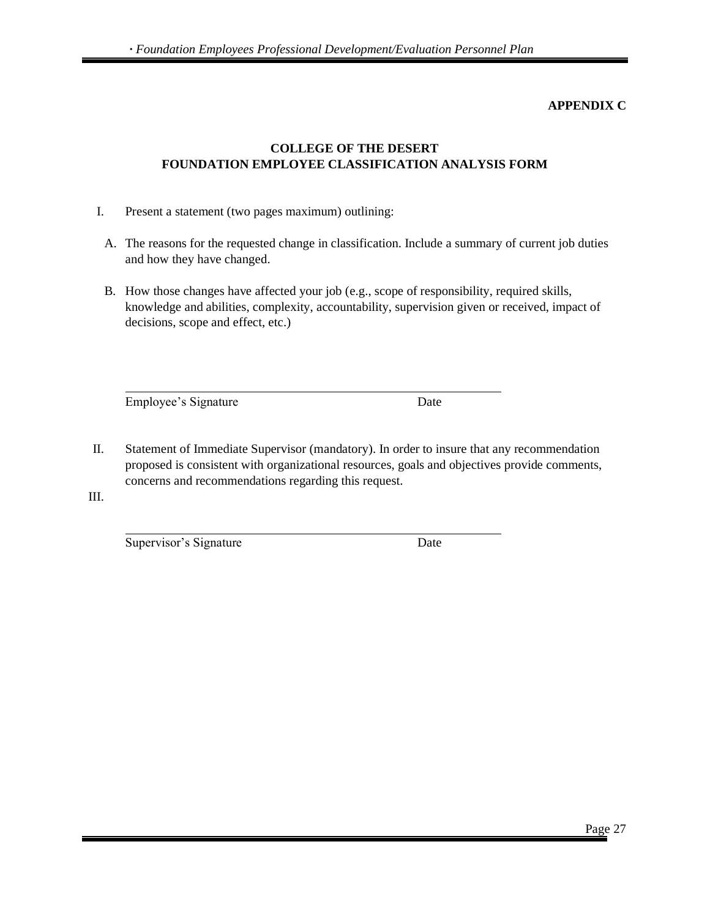#### **APPENDIX C**

#### **COLLEGE OF THE DESERT FOUNDATION EMPLOYEE CLASSIFICATION ANALYSIS FORM**

- I. Present a statement (two pages maximum) outlining:
	- A. The reasons for the requested change in classification. Include a summary of current job duties and how they have changed.
	- B. How those changes have affected your job (e.g., scope of responsibility, required skills, knowledge and abilities, complexity, accountability, supervision given or received, impact of decisions, scope and effect, etc.)

Employee's Signature Date

II. Statement of Immediate Supervisor (mandatory). In order to insure that any recommendation proposed is consistent with organizational resources, goals and objectives provide comments, concerns and recommendations regarding this request.

III.

Supervisor's Signature Date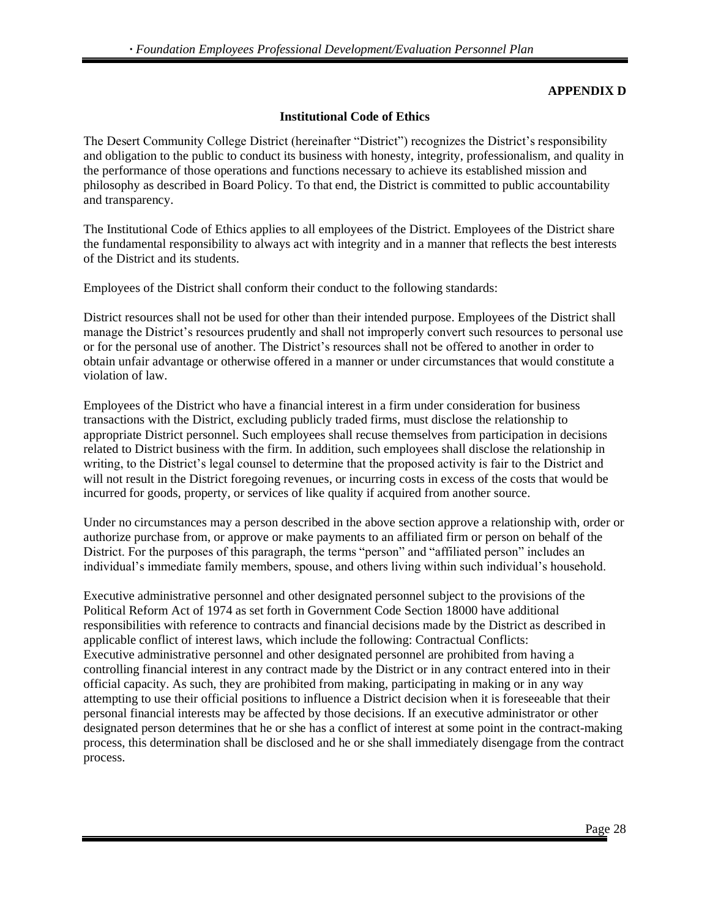#### **APPENDIX D**

#### **Institutional Code of Ethics**

The Desert Community College District (hereinafter "District") recognizes the District's responsibility and obligation to the public to conduct its business with honesty, integrity, professionalism, and quality in the performance of those operations and functions necessary to achieve its established mission and philosophy as described in Board Policy. To that end, the District is committed to public accountability and transparency.

The Institutional Code of Ethics applies to all employees of the District. Employees of the District share the fundamental responsibility to always act with integrity and in a manner that reflects the best interests of the District and its students.

Employees of the District shall conform their conduct to the following standards:

District resources shall not be used for other than their intended purpose. Employees of the District shall manage the District's resources prudently and shall not improperly convert such resources to personal use or for the personal use of another. The District's resources shall not be offered to another in order to obtain unfair advantage or otherwise offered in a manner or under circumstances that would constitute a violation of law.

Employees of the District who have a financial interest in a firm under consideration for business transactions with the District, excluding publicly traded firms, must disclose the relationship to appropriate District personnel. Such employees shall recuse themselves from participation in decisions related to District business with the firm. In addition, such employees shall disclose the relationship in writing, to the District's legal counsel to determine that the proposed activity is fair to the District and will not result in the District foregoing revenues, or incurring costs in excess of the costs that would be incurred for goods, property, or services of like quality if acquired from another source.

Under no circumstances may a person described in the above section approve a relationship with, order or authorize purchase from, or approve or make payments to an affiliated firm or person on behalf of the District. For the purposes of this paragraph, the terms "person" and "affiliated person" includes an individual's immediate family members, spouse, and others living within such individual's household.

Executive administrative personnel and other designated personnel subject to the provisions of the Political Reform Act of 1974 as set forth in Government Code Section 18000 have additional responsibilities with reference to contracts and financial decisions made by the District as described in applicable conflict of interest laws, which include the following: Contractual Conflicts: Executive administrative personnel and other designated personnel are prohibited from having a controlling financial interest in any contract made by the District or in any contract entered into in their official capacity. As such, they are prohibited from making, participating in making or in any way attempting to use their official positions to influence a District decision when it is foreseeable that their personal financial interests may be affected by those decisions. If an executive administrator or other designated person determines that he or she has a conflict of interest at some point in the contract-making process, this determination shall be disclosed and he or she shall immediately disengage from the contract process.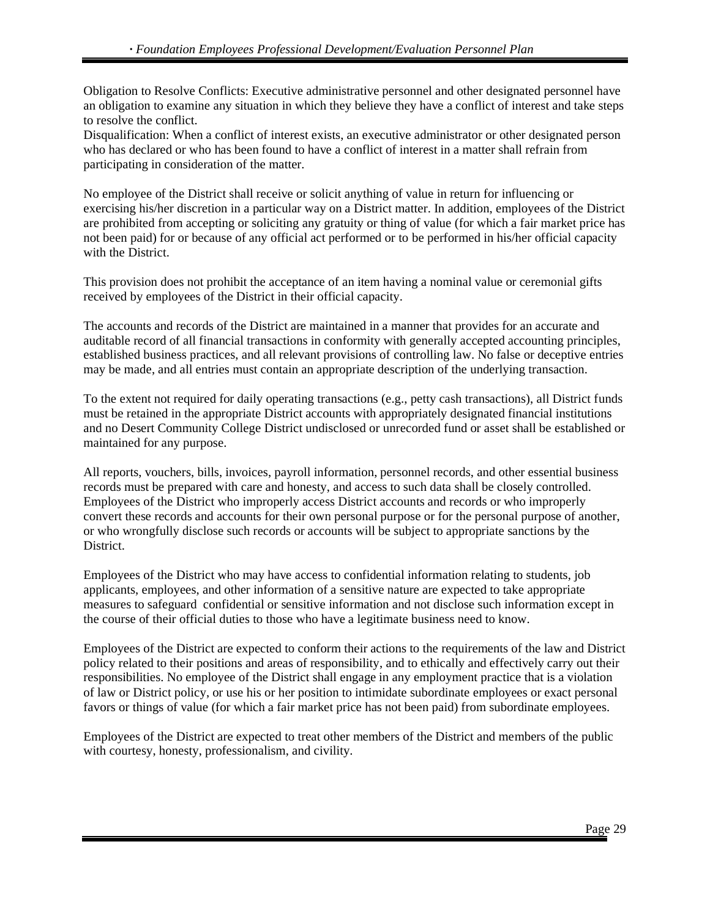Obligation to Resolve Conflicts: Executive administrative personnel and other designated personnel have an obligation to examine any situation in which they believe they have a conflict of interest and take steps to resolve the conflict.

Disqualification: When a conflict of interest exists, an executive administrator or other designated person who has declared or who has been found to have a conflict of interest in a matter shall refrain from participating in consideration of the matter.

No employee of the District shall receive or solicit anything of value in return for influencing or exercising his/her discretion in a particular way on a District matter. In addition, employees of the District are prohibited from accepting or soliciting any gratuity or thing of value (for which a fair market price has not been paid) for or because of any official act performed or to be performed in his/her official capacity with the District.

This provision does not prohibit the acceptance of an item having a nominal value or ceremonial gifts received by employees of the District in their official capacity.

The accounts and records of the District are maintained in a manner that provides for an accurate and auditable record of all financial transactions in conformity with generally accepted accounting principles, established business practices, and all relevant provisions of controlling law. No false or deceptive entries may be made, and all entries must contain an appropriate description of the underlying transaction.

To the extent not required for daily operating transactions (e.g., petty cash transactions), all District funds must be retained in the appropriate District accounts with appropriately designated financial institutions and no Desert Community College District undisclosed or unrecorded fund or asset shall be established or maintained for any purpose.

All reports, vouchers, bills, invoices, payroll information, personnel records, and other essential business records must be prepared with care and honesty, and access to such data shall be closely controlled. Employees of the District who improperly access District accounts and records or who improperly convert these records and accounts for their own personal purpose or for the personal purpose of another, or who wrongfully disclose such records or accounts will be subject to appropriate sanctions by the District.

Employees of the District who may have access to confidential information relating to students, job applicants, employees, and other information of a sensitive nature are expected to take appropriate measures to safeguard confidential or sensitive information and not disclose such information except in the course of their official duties to those who have a legitimate business need to know.

Employees of the District are expected to conform their actions to the requirements of the law and District policy related to their positions and areas of responsibility, and to ethically and effectively carry out their responsibilities. No employee of the District shall engage in any employment practice that is a violation of law or District policy, or use his or her position to intimidate subordinate employees or exact personal favors or things of value (for which a fair market price has not been paid) from subordinate employees.

Employees of the District are expected to treat other members of the District and members of the public with courtesy, honesty, professionalism, and civility.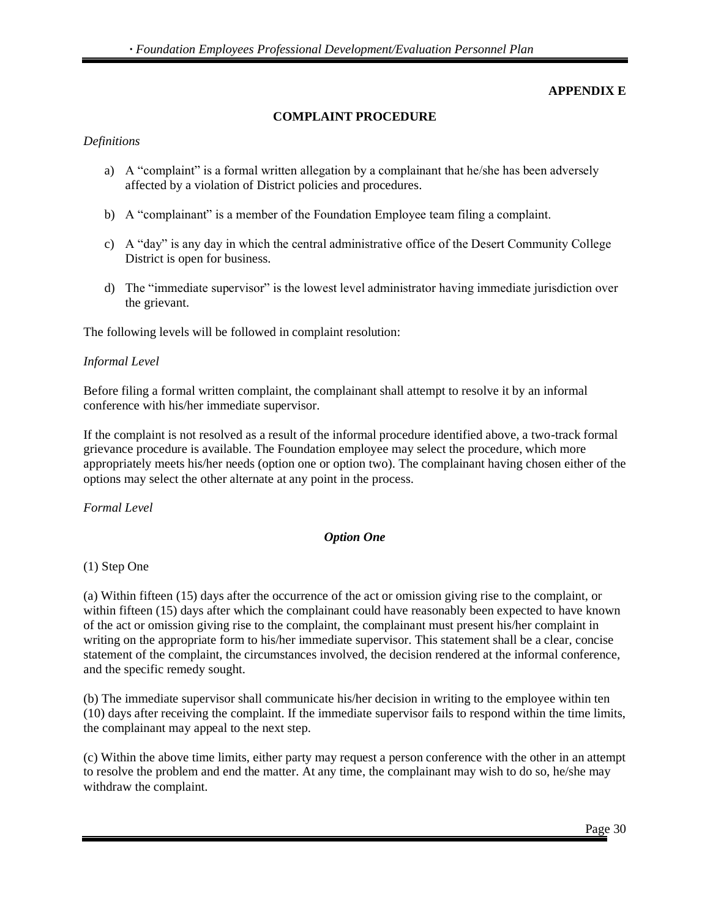#### **APPENDIX E**

#### **COMPLAINT PROCEDURE**

#### *Definitions*

- a) A "complaint" is a formal written allegation by a complainant that he/she has been adversely affected by a violation of District policies and procedures.
- b) A "complainant" is a member of the Foundation Employee team filing a complaint.
- c) A "day" is any day in which the central administrative office of the Desert Community College District is open for business.
- d) The "immediate supervisor" is the lowest level administrator having immediate jurisdiction over the grievant.

The following levels will be followed in complaint resolution:

#### *Informal Level*

Before filing a formal written complaint, the complainant shall attempt to resolve it by an informal conference with his/her immediate supervisor.

If the complaint is not resolved as a result of the informal procedure identified above, a two-track formal grievance procedure is available. The Foundation employee may select the procedure, which more appropriately meets his/her needs (option one or option two). The complainant having chosen either of the options may select the other alternate at any point in the process.

#### *Formal Level*

#### *Option One*

#### (1) Step One

(a) Within fifteen (15) days after the occurrence of the act or omission giving rise to the complaint, or within fifteen (15) days after which the complainant could have reasonably been expected to have known of the act or omission giving rise to the complaint, the complainant must present his/her complaint in writing on the appropriate form to his/her immediate supervisor. This statement shall be a clear, concise statement of the complaint, the circumstances involved, the decision rendered at the informal conference, and the specific remedy sought.

(b) The immediate supervisor shall communicate his/her decision in writing to the employee within ten (10) days after receiving the complaint. If the immediate supervisor fails to respond within the time limits, the complainant may appeal to the next step.

(c) Within the above time limits, either party may request a person conference with the other in an attempt to resolve the problem and end the matter. At any time, the complainant may wish to do so, he/she may withdraw the complaint.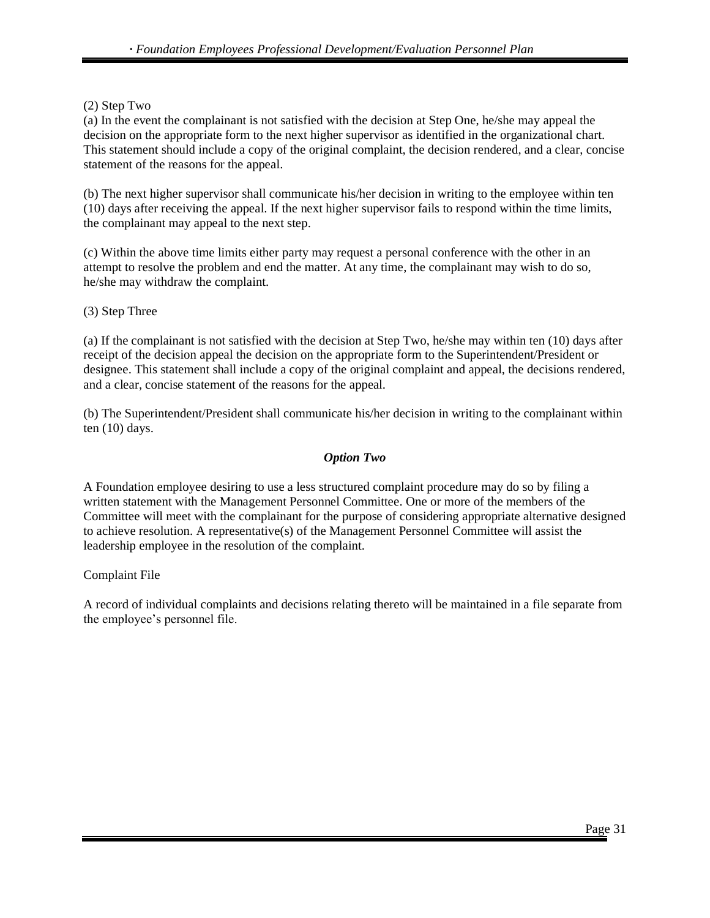(2) Step Two

(a) In the event the complainant is not satisfied with the decision at Step One, he/she may appeal the decision on the appropriate form to the next higher supervisor as identified in the organizational chart. This statement should include a copy of the original complaint, the decision rendered, and a clear, concise statement of the reasons for the appeal.

(b) The next higher supervisor shall communicate his/her decision in writing to the employee within ten (10) days after receiving the appeal. If the next higher supervisor fails to respond within the time limits, the complainant may appeal to the next step.

(c) Within the above time limits either party may request a personal conference with the other in an attempt to resolve the problem and end the matter. At any time, the complainant may wish to do so, he/she may withdraw the complaint.

(3) Step Three

(a) If the complainant is not satisfied with the decision at Step Two, he/she may within ten (10) days after receipt of the decision appeal the decision on the appropriate form to the Superintendent/President or designee. This statement shall include a copy of the original complaint and appeal, the decisions rendered, and a clear, concise statement of the reasons for the appeal.

(b) The Superintendent/President shall communicate his/her decision in writing to the complainant within ten (10) days.

#### *Option Two*

A Foundation employee desiring to use a less structured complaint procedure may do so by filing a written statement with the Management Personnel Committee. One or more of the members of the Committee will meet with the complainant for the purpose of considering appropriate alternative designed to achieve resolution. A representative(s) of the Management Personnel Committee will assist the leadership employee in the resolution of the complaint.

Complaint File

A record of individual complaints and decisions relating thereto will be maintained in a file separate from the employee's personnel file.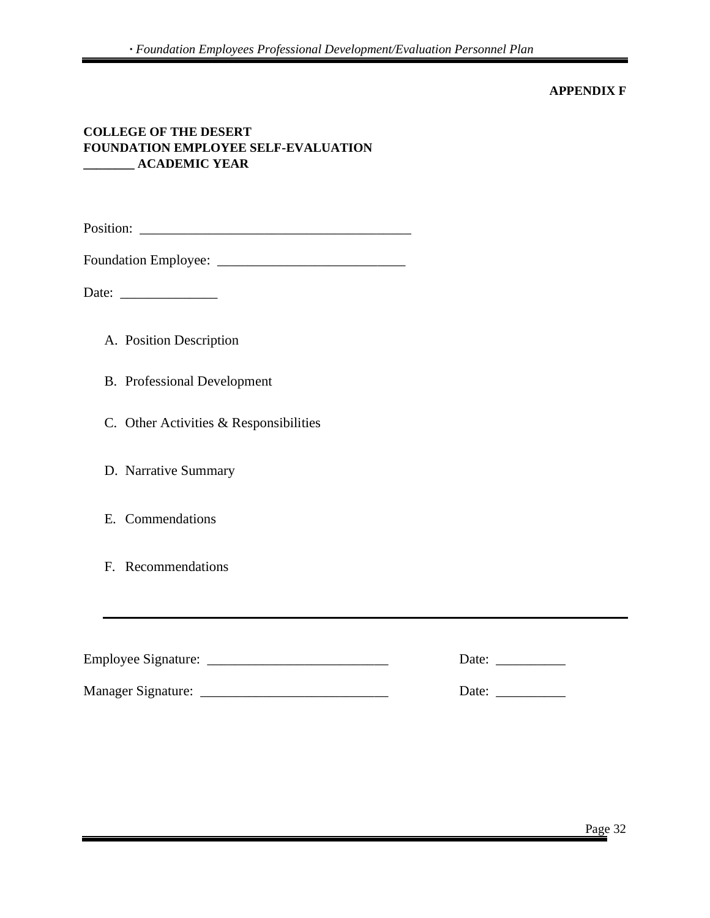#### **APPENDIX F**

#### **COLLEGE OF THE DESERT FOUNDATION EMPLOYEE SELF-EVALUATION \_\_\_\_\_\_\_\_ ACADEMIC YEAR**

Position: \_\_\_\_\_\_\_\_\_\_\_\_\_\_\_\_\_\_\_\_\_\_\_\_\_\_\_\_\_\_\_\_\_\_\_\_\_\_\_

Foundation Employee: \_\_\_\_\_\_\_\_\_\_\_\_\_\_\_\_\_\_\_\_\_\_\_\_\_\_\_

Date: \_\_\_\_\_\_\_\_\_\_\_\_\_\_

- A. Position Description
- B. Professional Development
- C. Other Activities & Responsibilities
- D. Narrative Summary
- E. Commendations
- F. Recommendations

| <b>Employee Signature:</b> | Date: |
|----------------------------|-------|
| <b>Manager Signature:</b>  | Date: |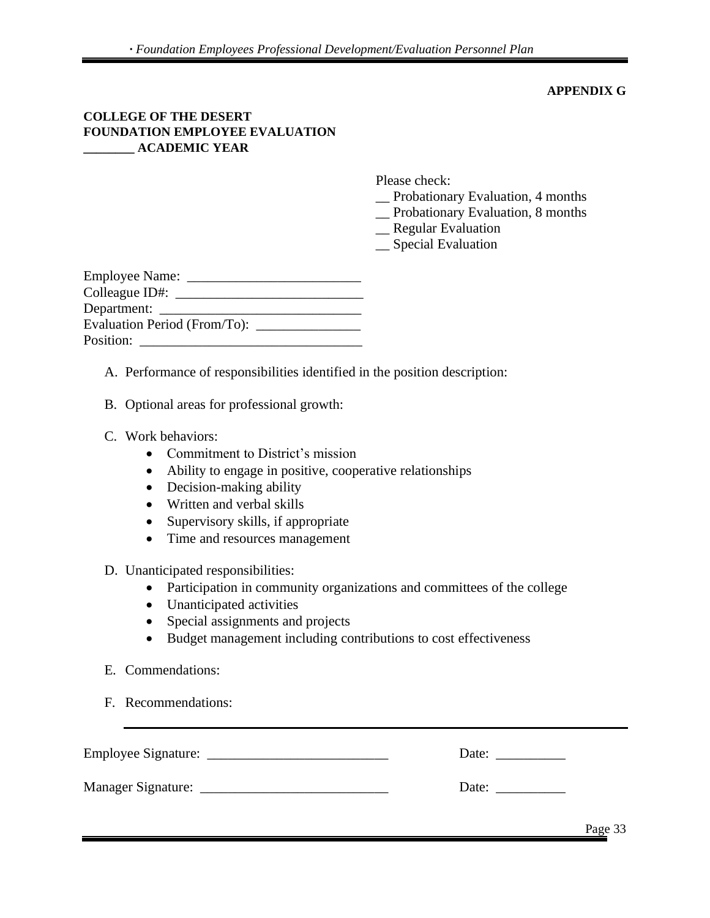#### **APPENDIX G**

#### **COLLEGE OF THE DESERT FOUNDATION EMPLOYEE EVALUATION \_\_\_\_\_\_\_\_ ACADEMIC YEAR**

Please check:

- \_\_ Probationary Evaluation, 4 months
- \_\_ Probationary Evaluation, 8 months
- \_\_ Regular Evaluation
- \_\_ Special Evaluation

| <b>Employee Name:</b> |
|-----------------------|
|                       |
| Department:           |
|                       |
| Position:             |

- A. Performance of responsibilities identified in the position description:
- B. Optional areas for professional growth:
- C. Work behaviors:
	- Commitment to District's mission
	- Ability to engage in positive, cooperative relationships
	- Decision-making ability
	- Written and verbal skills
	- Supervisory skills, if appropriate
	- Time and resources management

#### D. Unanticipated responsibilities:

- Participation in community organizations and committees of the college
- Unanticipated activities
- Special assignments and projects
- Budget management including contributions to cost effectiveness
- E. Commendations:
- F. Recommendations:

| <b>Employee Signature:</b> | Date: |
|----------------------------|-------|
| <b>Manager Signature:</b>  | Date: |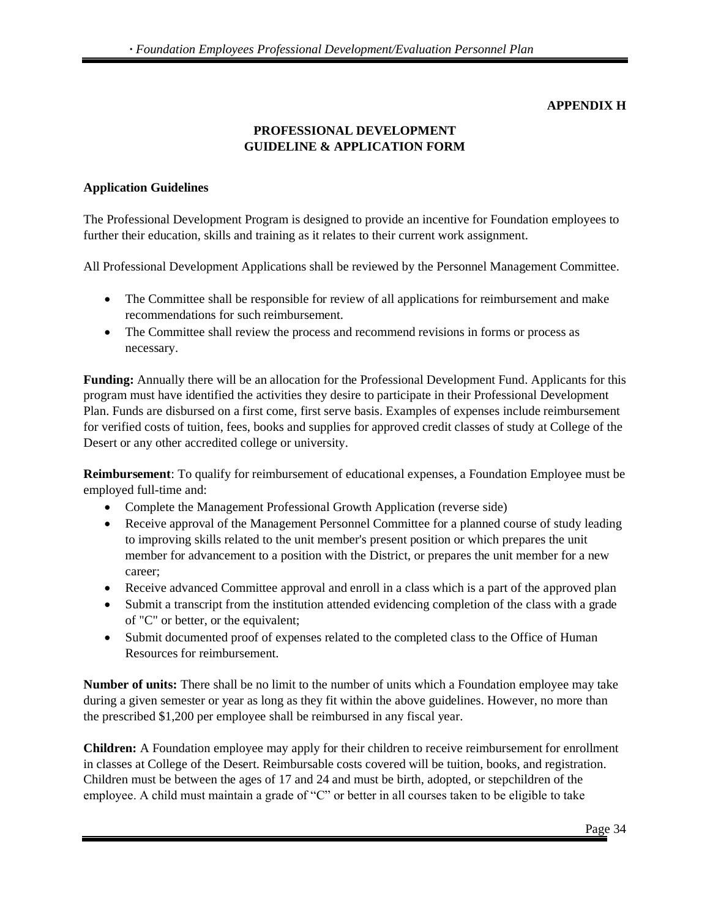#### **APPENDIX H**

# **PROFESSIONAL DEVELOPMENT GUIDELINE & APPLICATION FORM**

#### **Application Guidelines**

The Professional Development Program is designed to provide an incentive for Foundation employees to further their education, skills and training as it relates to their current work assignment.

All Professional Development Applications shall be reviewed by the Personnel Management Committee.

- The Committee shall be responsible for review of all applications for reimbursement and make recommendations for such reimbursement.
- The Committee shall review the process and recommend revisions in forms or process as necessary.

**Funding:** Annually there will be an allocation for the Professional Development Fund. Applicants for this program must have identified the activities they desire to participate in their Professional Development Plan. Funds are disbursed on a first come, first serve basis. Examples of expenses include reimbursement for verified costs of tuition, fees, books and supplies for approved credit classes of study at College of the Desert or any other accredited college or university.

**Reimbursement**: To qualify for reimbursement of educational expenses, a Foundation Employee must be employed full-time and:

- Complete the Management Professional Growth Application (reverse side)
- Receive approval of the Management Personnel Committee for a planned course of study leading to improving skills related to the unit member's present position or which prepares the unit member for advancement to a position with the District, or prepares the unit member for a new career;
- Receive advanced Committee approval and enroll in a class which is a part of the approved plan
- Submit a transcript from the institution attended evidencing completion of the class with a grade of "C" or better, or the equivalent;
- Submit documented proof of expenses related to the completed class to the Office of Human Resources for reimbursement.

**Number of units:** There shall be no limit to the number of units which a Foundation employee may take during a given semester or year as long as they fit within the above guidelines. However, no more than the prescribed \$1,200 per employee shall be reimbursed in any fiscal year.

**Children:** A Foundation employee may apply for their children to receive reimbursement for enrollment in classes at College of the Desert. Reimbursable costs covered will be tuition, books, and registration. Children must be between the ages of 17 and 24 and must be birth, adopted, or stepchildren of the employee. A child must maintain a grade of "C" or better in all courses taken to be eligible to take